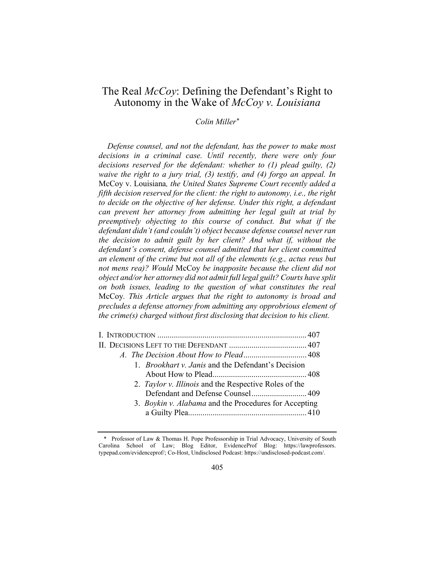# The Real *McCoy*: Defining the Defendant's Right to Autonomy in the Wake of McCoy v. Louisiana

## Colin Miller\*

Defense counsel, and not the defendant, has the power to make most decisions in a criminal case. Until recently, there were only four decisions reserved for the defendant: whether to (1) plead guilty, (2) waive the right to a jury trial, (3) testify, and (4) forgo an appeal. In McCoy v. Louisiana, the United States Supreme Court recently added a fifth decision reserved for the client: the right to autonomy, i.e., the right to decide on the objective of her defense. Under this right, a defendant can prevent her attorney from admitting her legal guilt at trial by preemptively objecting to this course of conduct. But what if the defendant didn't (and couldn't) object because defense counsel never ran the decision to admit guilt by her client? And what if, without the defendant's consent, defense counsel admitted that her client committed an element of the crime but not all of the elements (e.g., actus reus but not mens rea)? Would McCoy be inapposite because the client did not object and/or her attorney did not admit full legal guilt? Courts have split on both issues, leading to the question of what constitutes the real McCoy. This Article argues that the right to autonomy is broad and precludes a defense attorney from admitting any opprobrious element of the crime(s) charged without first disclosing that decision to his client.

| 1. <i>Brookhart v. Janis</i> and the Defendant's Decision |  |
|-----------------------------------------------------------|--|
|                                                           |  |
| 2. Taylor v. Illinois and the Respective Roles of the     |  |
| Defendant and Defense Counsel 409                         |  |
| 3. Boykin v. Alabama and the Procedures for Accepting     |  |
|                                                           |  |

<sup>\*</sup> Professor of Law & Thomas H. Pope Professorship in Trial Advocacy, University of South Carolina School of Law; Blog Editor, EvidenceProf Blog: https://lawprofessors. typepad.com/evidenceprof/; Co-Host, Undisclosed Podcast: https://undisclosed-podcast.com/.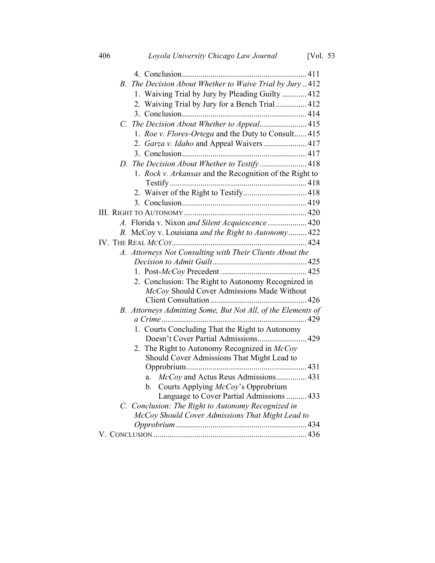| B. The Decision About Whether to Waive Trial by Jury412                                                |
|--------------------------------------------------------------------------------------------------------|
| 1. Waiving Trial by Jury by Pleading Guilty  412                                                       |
| 2. Waiving Trial by Jury for a Bench Trial  412                                                        |
|                                                                                                        |
| C. The Decision About Whether to Appeal 415                                                            |
| 1. Roe v. Flores-Ortega and the Duty to Consult 415                                                    |
| 2. Garza v. Idaho and Appeal Waivers  417                                                              |
|                                                                                                        |
| D. The Decision About Whether to Testify418                                                            |
| 1. Rock v. Arkansas and the Recognition of the Right to                                                |
|                                                                                                        |
| 2. Waiver of the Right to Testify 418                                                                  |
|                                                                                                        |
|                                                                                                        |
| A. Florida v. Nixon and Silent Acquiescence  420                                                       |
| B. McCoy v. Louisiana and the Right to Autonomy 422                                                    |
|                                                                                                        |
| A. Attorneys Not Consulting with Their Clients About the                                               |
|                                                                                                        |
|                                                                                                        |
| 2. Conclusion: The Right to Autonomy Recognized in                                                     |
| McCoy Should Cover Admissions Made Without                                                             |
|                                                                                                        |
| B. Attorneys Admitting Some, But Not All, of the Elements of                                           |
|                                                                                                        |
| 1. Courts Concluding That the Right to Autonomy                                                        |
| Doesn't Cover Partial Admissions 429                                                                   |
| 2. The Right to Autonomy Recognized in McCoy                                                           |
| Should Cover Admissions That Might Lead to                                                             |
|                                                                                                        |
| McCoy and Actus Reus Admissions 431<br>a.                                                              |
| b. Courts Applying McCoy's Opprobrium                                                                  |
| Language to Cover Partial Admissions  433                                                              |
| C. Conclusion: The Right to Autonomy Recognized in<br>McCoy Should Cover Admissions That Might Lead to |
|                                                                                                        |
|                                                                                                        |
|                                                                                                        |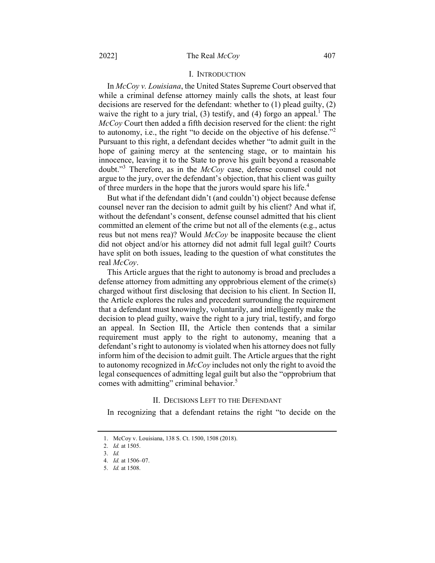## I. INTRODUCTION

In McCoy v. Louisiana, the United States Supreme Court observed that while a criminal defense attorney mainly calls the shots, at least four decisions are reserved for the defendant: whether to (1) plead guilty, (2) waive the right to a jury trial, (3) testify, and (4) forgo an appeal.<sup>1</sup> The McCoy Court then added a fifth decision reserved for the client: the right to autonomy, i.e., the right "to decide on the objective of his defense."<sup>2</sup> Pursuant to this right, a defendant decides whether "to admit guilt in the hope of gaining mercy at the sentencing stage, or to maintain his innocence, leaving it to the State to prove his guilt beyond a reasonable doubt."<sup>3</sup> Therefore, as in the  $McCoy$  case, defense counsel could not argue to the jury, over the defendant's objection, that his client was guilty of three murders in the hope that the jurors would spare his life.<sup>4</sup>

But what if the defendant didn't (and couldn't) object because defense counsel never ran the decision to admit guilt by his client? And what if, without the defendant's consent, defense counsel admitted that his client committed an element of the crime but not all of the elements (e.g., actus reus but not mens rea)? Would McCoy be inapposite because the client did not object and/or his attorney did not admit full legal guilt? Courts have split on both issues, leading to the question of what constitutes the real McCov.

This Article argues that the right to autonomy is broad and precludes a defense attorney from admitting any opprobrious element of the crime(s) charged without first disclosing that decision to his client. In Section II, the Article explores the rules and precedent surrounding the requirement that a defendant must knowingly, voluntarily, and intelligently make the decision to plead guilty, waive the right to a jury trial, testify, and forgo an appeal. In Section III, the Article then contends that a similar requirement must apply to the right to autonomy, meaning that a defendant's right to autonomy is violated when his attorney does not fully inform him of the decision to admit guilt. The Article argues that the right to autonomy recognized in  $McCov$  includes not only the right to avoid the legal consequences of admitting legal guilt but also the "opprobrium that comes with admitting" criminal behavior.<sup>5</sup>

#### II. DECISIONS LEFT TO THE DEFENDANT

In recognizing that a defendant retains the right "to decide on the

<sup>1.</sup> McCoy v. Louisiana, 138 S. Ct. 1500, 1508 (2018).

<sup>2.</sup> Id. at 1505.

<sup>3.</sup> Id.

<sup>4.</sup> Id. at 1506–07.

<sup>5.</sup> Id. at 1508.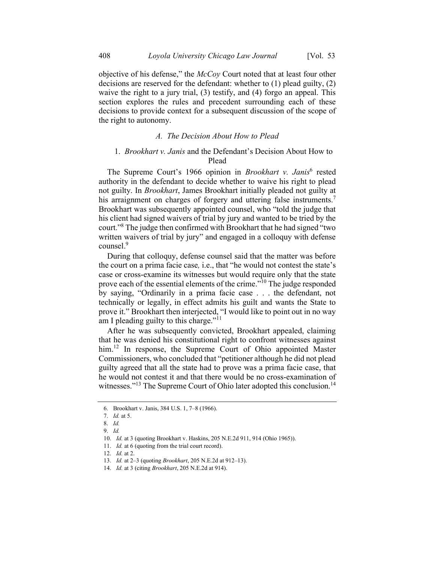objective of his defense," the McCoy Court noted that at least four other decisions are reserved for the defendant: whether to (1) plead guilty, (2) waive the right to a jury trial, (3) testify, and (4) forgo an appeal. This section explores the rules and precedent surrounding each of these decisions to provide context for a subsequent discussion of the scope of the right to autonomy.

## A. The Decision About How to Plead

## 1. Brookhart v. Janis and the Defendant's Decision About How to Plead

The Supreme Court's 1966 opinion in *Brookhart v. Janis*<sup>6</sup> rested authority in the defendant to decide whether to waive his right to plead not guilty. In Brookhart, James Brookhart initially pleaded not guilty at his arraignment on charges of forgery and uttering false instruments.<sup>7</sup> Brookhart was subsequently appointed counsel, who "told the judge that his client had signed waivers of trial by jury and wanted to be tried by the court."<sup>8</sup> The judge then confirmed with Brookhart that he had signed "two written waivers of trial by jury" and engaged in a colloquy with defense counsel.<sup>9</sup>

During that colloquy, defense counsel said that the matter was before the court on a prima facie case, i.e., that "he would not contest the state's case or cross-examine its witnesses but would require only that the state prove each of the essential elements of the crime."<sup>10</sup> The judge responded by saying, "Ordinarily in a prima facie case . . . the defendant, not technically or legally, in effect admits his guilt and wants the State to prove it." Brookhart then interjected, "I would like to point out in no way am I pleading guilty to this charge." $11$ 

After he was subsequently convicted, Brookhart appealed, claiming that he was denied his constitutional right to confront witnesses against him.<sup>12</sup> In response, the Supreme Court of Ohio appointed Master Commissioners, who concluded that "petitioner although he did not plead guilty agreed that all the state had to prove was a prima facie case, that he would not contest it and that there would be no cross-examination of witnesses."<sup>13</sup> The Supreme Court of Ohio later adopted this conclusion.<sup>14</sup>

<sup>6.</sup> Brookhart v. Janis, 384 U.S. 1, 7–8 (1966).

<sup>7.</sup> Id. at 5.

<sup>8.</sup> Id.

<sup>9.</sup> Id.

<sup>10.</sup> Id. at 3 (quoting Brookhart v. Haskins, 205 N.E.2d 911, 914 (Ohio 1965)).

<sup>11.</sup> *Id.* at 6 (quoting from the trial court record).

<sup>12.</sup> Id. at 2.

<sup>13.</sup> Id. at 2–3 (quoting Brookhart, 205 N.E.2d at 912–13).

<sup>14.</sup> Id. at 3 (citing Brookhart, 205 N.E.2d at 914).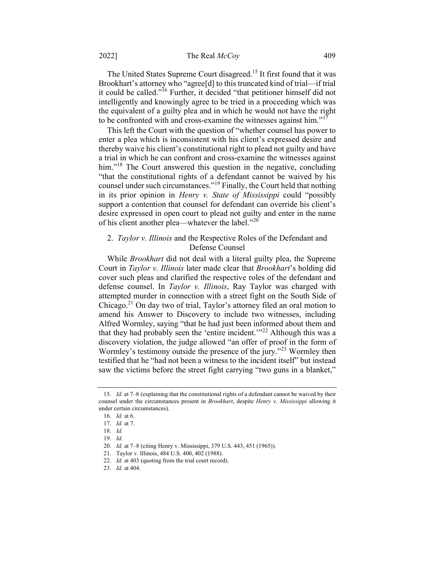## 2022] The Real *McCov* 409

The United States Supreme Court disagreed.<sup>15</sup> It first found that it was Brookhart's attorney who "agree[d] to this truncated kind of trial—if trial it could be called."<sup>16</sup> Further, it decided "that petitioner himself did not intelligently and knowingly agree to be tried in a proceeding which was the equivalent of a guilty plea and in which he would not have the right to be confronted with and cross-examine the witnesses against him." $17$ 

This left the Court with the question of "whether counsel has power to enter a plea which is inconsistent with his client's expressed desire and thereby waive his client's constitutional right to plead not guilty and have a trial in which he can confront and cross-examine the witnesses against him."<sup>18</sup> The Court answered this question in the negative, concluding "that the constitutional rights of a defendant cannot be waived by his counsel under such circumstances."<sup>19</sup> Finally, the Court held that nothing in its prior opinion in Henry v. State of Mississippi could "possibly support a contention that counsel for defendant can override his client's desire expressed in open court to plead not guilty and enter in the name of his client another plea—whatever the label."<sup>20</sup>

## 2. Taylor v. Illinois and the Respective Roles of the Defendant and Defense Counsel

While *Brookhart* did not deal with a literal guilty plea, the Supreme Court in Taylor v. Illinois later made clear that Brookhart's holding did cover such pleas and clarified the respective roles of the defendant and defense counsel. In *Taylor v. Illinois*, Ray Taylor was charged with attempted murder in connection with a street fight on the South Side of Chicago.<sup>21</sup> On day two of trial, Taylor's attorney filed an oral motion to amend his Answer to Discovery to include two witnesses, including Alfred Wormley, saying "that he had just been informed about them and that they had probably seen the 'entire incident. $1^{1/2}$  Although this was a discovery violation, the judge allowed "an offer of proof in the form of Wormley's testimony outside the presence of the jury."<sup>23</sup> Wormley then testified that he "had not been a witness to the incident itself" but instead saw the victims before the street fight carrying "two guns in a blanket,"

<sup>15.</sup> *Id.* at 7–8 (explaining that the constitutional rights of a defendant cannot be waived by their counsel under the circumstances present in *Brookhart*, despite *Henry v. Mississippi* allowing it under certain circumstances).

<sup>16.</sup> Id. at 6.

<sup>17.</sup> Id. at 7.

<sup>18.</sup> Id.

<sup>19.</sup> Id.

<sup>20.</sup> Id. at 7–8 (citing Henry v. Mississippi, 379 U.S. 443, 451 (1965)).

<sup>21.</sup> Taylor v. Illinois, 484 U.S. 400, 402 (1988).

<sup>22.</sup> Id. at 403 (quoting from the trial court record).

<sup>23.</sup> Id. at 404.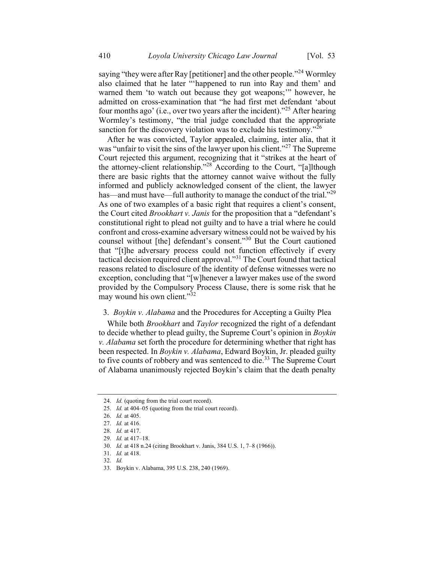saying "they were after Ray [petitioner] and the other people."<sup>24</sup> Wormley also claimed that he later "'happened to run into Ray and them' and warned them 'to watch out because they got weapons;'" however, he admitted on cross-examination that "he had first met defendant 'about four months ago' (i.e., over two years after the incident)."<sup>25</sup> After hearing Wormley's testimony, "the trial judge concluded that the appropriate sanction for the discovery violation was to exclude his testimony."<sup>26</sup>

After he was convicted, Taylor appealed, claiming, inter alia, that it was "unfair to visit the sins of the lawyer upon his client."<sup>27</sup> The Supreme Court rejected this argument, recognizing that it "strikes at the heart of the attorney-client relationship."<sup>28</sup> According to the Court, "[a]lthough there are basic rights that the attorney cannot waive without the fully informed and publicly acknowledged consent of the client, the lawyer has—and must have—full authority to manage the conduct of the trial."<sup>29</sup> As one of two examples of a basic right that requires a client's consent, the Court cited Brookhart v. Janis for the proposition that a "defendant's constitutional right to plead not guilty and to have a trial where he could confront and cross-examine adversary witness could not be waived by his counsel without [the] defendant's consent."<sup>30</sup> But the Court cautioned that "[t]he adversary process could not function effectively if every tactical decision required client approval."<sup>31</sup> The Court found that tactical reasons related to disclosure of the identity of defense witnesses were no exception, concluding that "[w]henever a lawyer makes use of the sword provided by the Compulsory Process Clause, there is some risk that he may wound his own client."<sup>32</sup>

## 3. Boykin v. Alabama and the Procedures for Accepting a Guilty Plea

While both *Brookhart* and *Taylor* recognized the right of a defendant to decide whether to plead guilty, the Supreme Court's opinion in Boykin v. Alabama set forth the procedure for determining whether that right has been respected. In Boykin v. Alabama, Edward Boykin, Jr. pleaded guilty to five counts of robbery and was sentenced to die.<sup>33</sup> The Supreme Court of Alabama unanimously rejected Boykin's claim that the death penalty

<sup>24.</sup> *Id.* (quoting from the trial court record).

<sup>25.</sup> Id. at 404–05 (quoting from the trial court record).

<sup>26.</sup> Id. at 405.

<sup>27.</sup> Id. at 416.

<sup>28.</sup> Id. at 417.

<sup>29.</sup> Id. at 417–18.

<sup>30.</sup> Id. at 418 n.24 (citing Brookhart v. Janis, 384 U.S. 1, 7–8 (1966)).

<sup>31.</sup> Id. at 418.

<sup>32.</sup> Id.

<sup>33.</sup> Boykin v. Alabama, 395 U.S. 238, 240 (1969).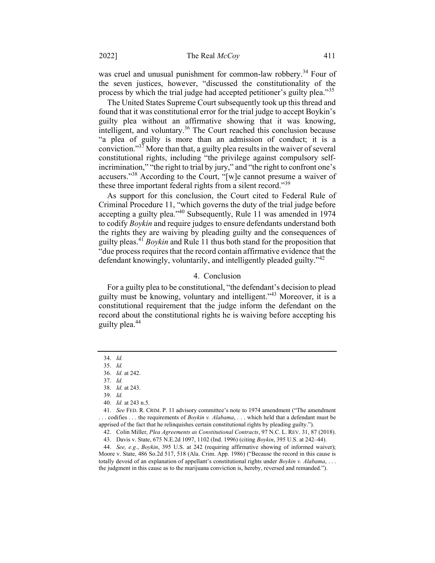was cruel and unusual punishment for common-law robbery.<sup>34</sup> Four of the seven justices, however, "discussed the constitutionality of the process by which the trial judge had accepted petitioner's guilty plea."<sup>35</sup>

The United States Supreme Court subsequently took up this thread and found that it was constitutional error for the trial judge to accept Boykin's guilty plea without an affirmative showing that it was knowing, intelligent, and voluntary.<sup>36</sup> The Court reached this conclusion because "a plea of guilty is more than an admission of conduct; it is a conviction."<sup>37</sup> More than that, a guilty plea results in the waiver of several constitutional rights, including "the privilege against compulsory selfincrimination," "the right to trial by jury," and "the right to confront one's accusers."<sup>38</sup> According to the Court, "[w]e cannot presume a waiver of these three important federal rights from a silent record."<sup>39</sup>

As support for this conclusion, the Court cited to Federal Rule of Criminal Procedure 11, "which governs the duty of the trial judge before accepting a guilty plea."<sup>40</sup> Subsequently, Rule 11 was amended in 1974 to codify Boykin and require judges to ensure defendants understand both the rights they are waiving by pleading guilty and the consequences of guilty pleas.<sup>41</sup> Boykin and Rule 11 thus both stand for the proposition that "due process requires that the record contain affirmative evidence that the defendant knowingly, voluntarily, and intelligently pleaded guilty."<sup>42</sup>

### 4. Conclusion

For a guilty plea to be constitutional, "the defendant's decision to plead guilty must be knowing, voluntary and intelligent."<sup>43</sup> Moreover, it is a constitutional requirement that the judge inform the defendant on the record about the constitutional rights he is waiving before accepting his guilty plea.<sup>44</sup>

<sup>34.</sup> Id.

<sup>35.</sup> Id.

<sup>36.</sup> Id. at 242.

<sup>37.</sup> Id.

<sup>38.</sup> Id. at 243.

<sup>39.</sup> Id.

<sup>40.</sup> Id. at 243 n.5.

<sup>41.</sup> See FED. R. CRIM. P. 11 advisory committee's note to 1974 amendment ("The amendment ... codifies ... the requirements of *Boykin v. Alabama*, ... which held that a defendant must be apprised of the fact that he relinquishes certain constitutional rights by pleading guilty.").

<sup>42.</sup> Colin Miller, Plea Agreements as Constitutional Contracts, 97 N.C. L. REV. 31, 87 (2018).

<sup>43.</sup> Davis v. State, 675 N.E.2d 1097, 1102 (Ind. 1996) (citing Boykin, 395 U.S. at 242–44).

<sup>44.</sup> See, e.g., Boykin, 395 U.S. at 242 (requiring affirmative showing of informed waiver); Moore v. State, 486 So.2d 517, 518 (Ala. Crim. App. 1986) ("Because the record in this cause is totally devoid of an explanation of appellant's constitutional rights under Boykin v. Alabama, ... the judgment in this cause as to the marijuana conviction is, hereby, reversed and remanded.").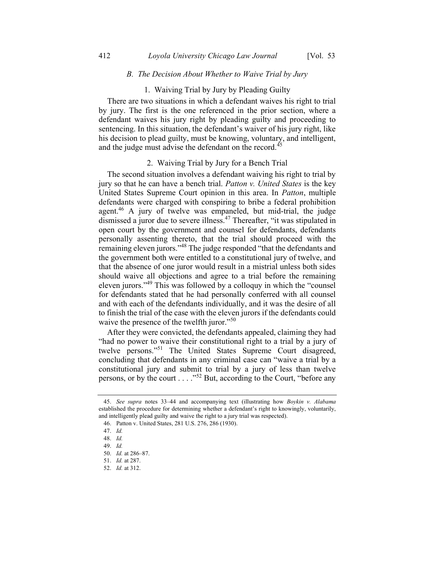## B. The Decision About Whether to Waive Trial by Jury

## 1. Waiving Trial by Jury by Pleading Guilty

There are two situations in which a defendant waives his right to trial by jury. The first is the one referenced in the prior section, where a defendant waives his jury right by pleading guilty and proceeding to sentencing. In this situation, the defendant's waiver of his jury right, like his decision to plead guilty, must be knowing, voluntary, and intelligent, and the judge must advise the defendant on the record.<sup>45</sup>

#### 2. Waiving Trial by Jury for a Bench Trial

The second situation involves a defendant waiving his right to trial by jury so that he can have a bench trial. Patton v. United States is the key United States Supreme Court opinion in this area. In Patton, multiple defendants were charged with conspiring to bribe a federal prohibition agent.<sup>46</sup> A jury of twelve was empaneled, but mid-trial, the judge dismissed a juror due to severe illness.<sup>47</sup> Thereafter, "it was stipulated in open court by the government and counsel for defendants, defendants personally assenting thereto, that the trial should proceed with the remaining eleven jurors."<sup>48</sup> The judge responded "that the defendants and the government both were entitled to a constitutional jury of twelve, and that the absence of one juror would result in a mistrial unless both sides should waive all objections and agree to a trial before the remaining eleven jurors."<sup>49</sup> This was followed by a colloquy in which the "counsel for defendants stated that he had personally conferred with all counsel and with each of the defendants individually, and it was the desire of all to finish the trial of the case with the eleven jurors if the defendants could waive the presence of the twelfth juror."<sup>50</sup>

After they were convicted, the defendants appealed, claiming they had "had no power to waive their constitutional right to a trial by a jury of twelve persons."<sup>51</sup> The United States Supreme Court disagreed, concluding that defendants in any criminal case can "waive a trial by a constitutional jury and submit to trial by a jury of less than twelve persons, or by the court . . . ."<sup>52</sup> But, according to the Court, "before any

<sup>45.</sup> See supra notes 33–44 and accompanying text (illustrating how Boykin v. Alabama established the procedure for determining whether a defendant's right to knowingly, voluntarily, and intelligently plead guilty and waive the right to a jury trial was respected).

<sup>46.</sup> Patton v. United States, 281 U.S. 276, 286 (1930).

<sup>47.</sup> Id.

<sup>48.</sup> Id.

<sup>49.</sup> Id.

<sup>50.</sup> Id. at 286–87.

<sup>51.</sup> Id. at 287.

<sup>52.</sup> Id. at 312.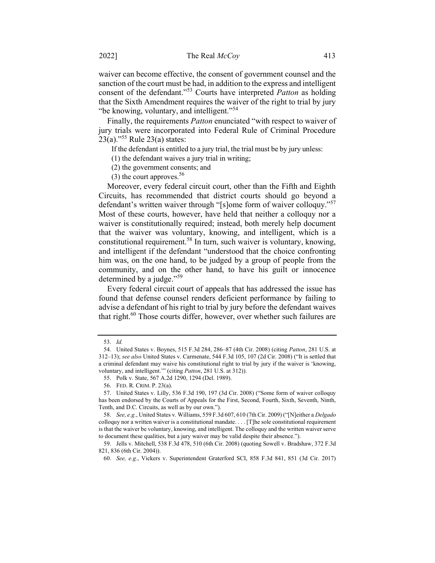waiver can become effective, the consent of government counsel and the sanction of the court must be had, in addition to the express and intelligent consent of the defendant."<sup>53</sup> Courts have interpreted Patton as holding that the Sixth Amendment requires the waiver of the right to trial by jury "be knowing, voluntary, and intelligent."<sup>54</sup>

Finally, the requirements Patton enunciated "with respect to waiver of jury trials were incorporated into Federal Rule of Criminal Procedure  $23(a)$ ."<sup>55</sup> Rule 23(a) states:

If the defendant is entitled to a jury trial, the trial must be by jury unless:

(1) the defendant waives a jury trial in writing;

(2) the government consents; and

(3) the court approves.  $56$ 

Moreover, every federal circuit court, other than the Fifth and Eighth Circuits, has recommended that district courts should go beyond a defendant's written waiver through "[s]ome form of waiver colloquy."<sup>57</sup> Most of these courts, however, have held that neither a colloquy nor a waiver is constitutionally required; instead, both merely help document that the waiver was voluntary, knowing, and intelligent, which is a constitutional requirement.<sup>58</sup> In turn, such waiver is voluntary, knowing, and intelligent if the defendant "understood that the choice confronting him was, on the one hand, to be judged by a group of people from the community, and on the other hand, to have his guilt or innocence determined by a judge."<sup>59</sup>

Every federal circuit court of appeals that has addressed the issue has found that defense counsel renders deficient performance by failing to advise a defendant of his right to trial by jury before the defendant waives that right.<sup>60</sup> Those courts differ, however, over whether such failures are

<sup>53.</sup> Id.

<sup>54.</sup> United States v. Boynes, 515 F.3d 284, 286–87 (4th Cir. 2008) (citing Patton, 281 U.S. at 312–13); see also United States v. Carmenate, 544 F.3d 105, 107 (2d Cir. 2008) ("It is settled that a criminal defendant may waive his constitutional right to trial by jury if the waiver is 'knowing, voluntary, and intelligent.'" (citing Patton, 281 U.S. at 312)).

<sup>55.</sup> Polk v. State, 567 A.2d 1290, 1294 (Del. 1989).

<sup>56.</sup> FED. R. CRIM. P. 23(a).

<sup>57.</sup> United States v. Lilly, 536 F.3d 190, 197 (3d Cir. 2008) ("Some form of waiver colloquy has been endorsed by the Courts of Appeals for the First, Second, Fourth, Sixth, Seventh, Ninth, Tenth, and D.C. Circuits, as well as by our own.").

<sup>58.</sup> See, e.g., United States v. Williams, 559 F.3d 607, 610 (7th Cir. 2009) ("[N]either a Delgado colloquy nor a written waiver is a constitutional mandate. . . . [T]he sole constitutional requirement is that the waiver be voluntary, knowing, and intelligent. The colloquy and the written waiver serve to document these qualities, but a jury waiver may be valid despite their absence.").

<sup>59.</sup> Jells v. Mitchell, 538 F.3d 478, 510 (6th Cir. 2008) (quoting Sowell v. Bradshaw, 372 F.3d 821, 836 (6th Cir. 2004)).

<sup>60.</sup> See, e.g., Vickers v. Superintendent Graterford SCI, 858 F.3d 841, 851 (3d Cir. 2017)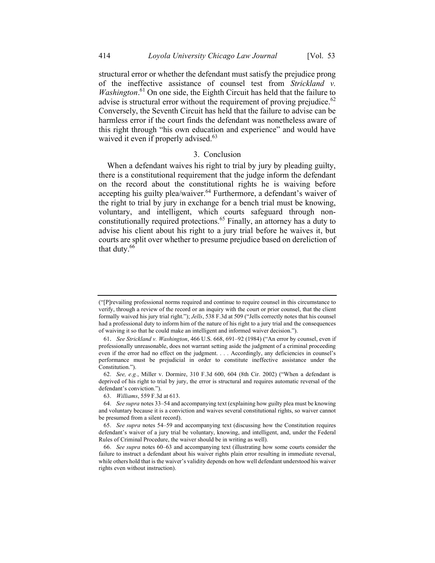structural error or whether the defendant must satisfy the prejudice prong of the ineffective assistance of counsel test from Strickland v. *Washington*.<sup>61</sup> On one side, the Eighth Circuit has held that the failure to advise is structural error without the requirement of proving prejudice. $62$ Conversely, the Seventh Circuit has held that the failure to advise can be harmless error if the court finds the defendant was nonetheless aware of this right through "his own education and experience" and would have waived it even if properly advised.<sup>63</sup>

## 3. Conclusion

When a defendant waives his right to trial by jury by pleading guilty, there is a constitutional requirement that the judge inform the defendant on the record about the constitutional rights he is waiving before accepting his guilty plea/waiver.<sup>64</sup> Furthermore, a defendant's waiver of the right to trial by jury in exchange for a bench trial must be knowing, voluntary, and intelligent, which courts safeguard through nonconstitutionally required protections.<sup>65</sup> Finally, an attorney has a duty to advise his client about his right to a jury trial before he waives it, but courts are split over whether to presume prejudice based on dereliction of that duty.<sup>66</sup>

<sup>(&</sup>quot;[P]revailing professional norms required and continue to require counsel in this circumstance to verify, through a review of the record or an inquiry with the court or prior counsel, that the client formally waived his jury trial right."); Jells, 538 F.3d at 509 ("Jells correctly notes that his counsel had a professional duty to inform him of the nature of his right to a jury trial and the consequences of waiving it so that he could make an intelligent and informed waiver decision.").

<sup>61</sup>. See Strickland v. Washington, 466 U.S. 668, 691–92 (1984) ("An error by counsel, even if professionally unreasonable, does not warrant setting aside the judgment of a criminal proceeding even if the error had no effect on the judgment. . . . Accordingly, any deficiencies in counsel's performance must be prejudicial in order to constitute ineffective assistance under the Constitution.").

<sup>62.</sup> See, e.g., Miller v. Dormire, 310 F.3d 600, 604 (8th Cir. 2002) ("When a defendant is deprived of his right to trial by jury, the error is structural and requires automatic reversal of the defendant's conviction.").

<sup>63.</sup> Williams, 559 F.3d at 613.

<sup>64.</sup> See supra notes 33–54 and accompanying text (explaining how guilty plea must be knowing and voluntary because it is a conviction and waives several constitutional rights, so waiver cannot be presumed from a silent record).

<sup>65.</sup> See supra notes 54–59 and accompanying text (discussing how the Constitution requires defendant's waiver of a jury trial be voluntary, knowing, and intelligent, and, under the Federal Rules of Criminal Procedure, the waiver should be in writing as well).

<sup>66.</sup> See supra notes 60–63 and accompanying text (illustrating how some courts consider the failure to instruct a defendant about his waiver rights plain error resulting in immediate reversal, while others hold that is the waiver's validity depends on how well defendant understood his waiver rights even without instruction).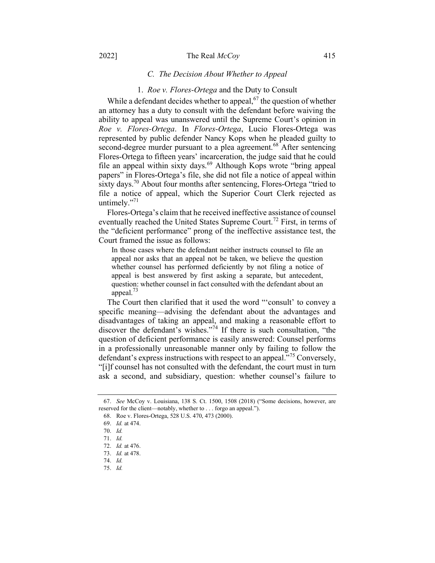#### 2022] The Real *McCov* 415

## C. The Decision About Whether to Appeal

#### 1. Roe v. Flores-Ortega and the Duty to Consult

While a defendant decides whether to appeal,  $67$  the question of whether an attorney has a duty to consult with the defendant before waiving the ability to appeal was unanswered until the Supreme Court's opinion in Roe v. Flores-Ortega. In Flores-Ortega, Lucio Flores-Ortega was represented by public defender Nancy Kops when he pleaded guilty to second-degree murder pursuant to a plea agreement.<sup>68</sup> After sentencing Flores-Ortega to fifteen years' incarceration, the judge said that he could file an appeal within sixty days.<sup>69</sup> Although Kops wrote "bring appeal" papers" in Flores-Ortega's file, she did not file a notice of appeal within sixty days.<sup>70</sup> About four months after sentencing, Flores-Ortega "tried to file a notice of appeal, which the Superior Court Clerk rejected as untimely. $"$ <sup>71</sup>

Flores-Ortega's claim that he received ineffective assistance of counsel eventually reached the United States Supreme Court.<sup>72</sup> First, in terms of the "deficient performance" prong of the ineffective assistance test, the Court framed the issue as follows:

In those cases where the defendant neither instructs counsel to file an appeal nor asks that an appeal not be taken, we believe the question whether counsel has performed deficiently by not filing a notice of appeal is best answered by first asking a separate, but antecedent, question: whether counsel in fact consulted with the defendant about an appeal. $^{73}$ 

The Court then clarified that it used the word "'consult' to convey a specific meaning—advising the defendant about the advantages and disadvantages of taking an appeal, and making a reasonable effort to discover the defendant's wishes."<sup>74</sup> If there is such consultation, "the question of deficient performance is easily answered: Counsel performs in a professionally unreasonable manner only by failing to follow the defendant's express instructions with respect to an appeal."<sup>75</sup> Conversely, "[i]f counsel has not consulted with the defendant, the court must in turn ask a second, and subsidiary, question: whether counsel's failure to

<sup>67.</sup> See McCoy v. Louisiana, 138 S. Ct. 1500, 1508 (2018) ("Some decisions, however, are reserved for the client—notably, whether to . . . forgo an appeal.").

<sup>68.</sup> Roe v. Flores-Ortega, 528 U.S. 470, 473 (2000).

<sup>69.</sup> Id. at 474.

<sup>70.</sup> Id.

<sup>71.</sup> Id.

<sup>72.</sup> Id. at 476.

<sup>73.</sup> Id. at 478.

<sup>74.</sup> Id.

<sup>75.</sup> Id.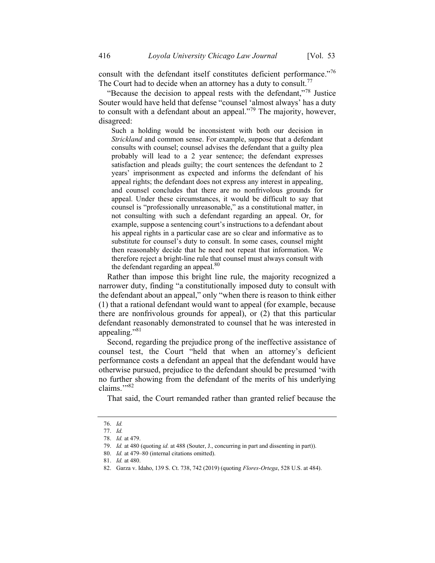consult with the defendant itself constitutes deficient performance."<sup>76</sup> The Court had to decide when an attorney has a duty to consult.<sup>77</sup>

"Because the decision to appeal rests with the defendant,"<sup>78</sup> Justice" Souter would have held that defense "counsel 'almost always' has a duty to consult with a defendant about an appeal."<sup>79</sup> The majority, however, disagreed:

Such a holding would be inconsistent with both our decision in Strickland and common sense. For example, suppose that a defendant consults with counsel; counsel advises the defendant that a guilty plea probably will lead to a 2 year sentence; the defendant expresses satisfaction and pleads guilty; the court sentences the defendant to 2 years' imprisonment as expected and informs the defendant of his appeal rights; the defendant does not express any interest in appealing, and counsel concludes that there are no nonfrivolous grounds for appeal. Under these circumstances, it would be difficult to say that counsel is "professionally unreasonable," as a constitutional matter, in not consulting with such a defendant regarding an appeal. Or, for example, suppose a sentencing court's instructions to a defendant about his appeal rights in a particular case are so clear and informative as to substitute for counsel's duty to consult. In some cases, counsel might then reasonably decide that he need not repeat that information. We therefore reject a bright-line rule that counsel must always consult with the defendant regarding an appeal.<sup>80</sup>

Rather than impose this bright line rule, the majority recognized a narrower duty, finding "a constitutionally imposed duty to consult with the defendant about an appeal," only "when there is reason to think either (1) that a rational defendant would want to appeal (for example, because there are nonfrivolous grounds for appeal), or (2) that this particular defendant reasonably demonstrated to counsel that he was interested in appealing."<sup>81</sup>

Second, regarding the prejudice prong of the ineffective assistance of counsel test, the Court "held that when an attorney's deficient performance costs a defendant an appeal that the defendant would have otherwise pursued, prejudice to the defendant should be presumed 'with no further showing from the defendant of the merits of his underlying claims."<sup>82</sup>

That said, the Court remanded rather than granted relief because the

<sup>76.</sup> Id. 77. Id.

<sup>78.</sup> Id. at 479.

<sup>79.</sup> Id. at 480 (quoting id. at 488 (Souter, J., concurring in part and dissenting in part)).

<sup>80.</sup> Id. at 479–80 (internal citations omitted).

<sup>81.</sup> Id. at 480.

<sup>82.</sup> Garza v. Idaho, 139 S. Ct. 738, 742 (2019) (quoting Flores-Ortega, 528 U.S. at 484).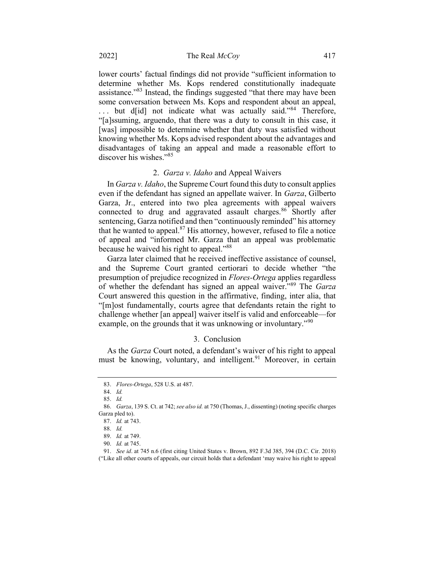lower courts' factual findings did not provide "sufficient information to determine whether Ms. Kops rendered constitutionally inadequate assistance."<sup>83</sup> Instead, the findings suggested "that there may have been some conversation between Ms. Kops and respondent about an appeal, ... but d[id] not indicate what was actually said."<sup>84</sup> Therefore, "[a]ssuming, arguendo, that there was a duty to consult in this case, it [was] impossible to determine whether that duty was satisfied without knowing whether Ms. Kops advised respondent about the advantages and disadvantages of taking an appeal and made a reasonable effort to discover his wishes."<sup>85</sup>

#### 2. Garza v. Idaho and Appeal Waivers

In Garza v. Idaho, the Supreme Court found this duty to consult applies even if the defendant has signed an appellate waiver. In Garza, Gilberto Garza, Jr., entered into two plea agreements with appeal waivers connected to drug and aggravated assault charges.<sup>86</sup> Shortly after sentencing, Garza notified and then "continuously reminded" his attorney that he wanted to appeal. $87$  His attorney, however, refused to file a notice of appeal and "informed Mr. Garza that an appeal was problematic because he waived his right to appeal."<sup>88</sup>

Garza later claimed that he received ineffective assistance of counsel, and the Supreme Court granted certiorari to decide whether "the presumption of prejudice recognized in *Flores-Ortega* applies regardless of whether the defendant has signed an appeal waiver."<sup>89</sup> The Garza Court answered this question in the affirmative, finding, inter alia, that "[m]ost fundamentally, courts agree that defendants retain the right to challenge whether [an appeal] waiver itself is valid and enforceable—for example, on the grounds that it was unknowing or involuntary."<sup>90</sup>

#### 3. Conclusion

As the Garza Court noted, a defendant's waiver of his right to appeal must be knowing, voluntary, and intelligent.<sup>91</sup> Moreover, in certain

85. Id.

<sup>83.</sup> Flores-Ortega, 528 U.S. at 487.

<sup>84.</sup> Id.

<sup>86.</sup> Garza, 139 S. Ct. at 742; see also id. at 750 (Thomas, J., dissenting) (noting specific charges Garza pled to).

<sup>87.</sup> Id. at 743.

<sup>88.</sup> Id.

<sup>89.</sup> Id. at 749.

<sup>90.</sup> Id. at 745.

<sup>91.</sup> See id. at 745 n.6 (first citing United States v. Brown, 892 F.3d 385, 394 (D.C. Cir. 2018)

<sup>(&</sup>quot;Like all other courts of appeals, our circuit holds that a defendant 'may waive his right to appeal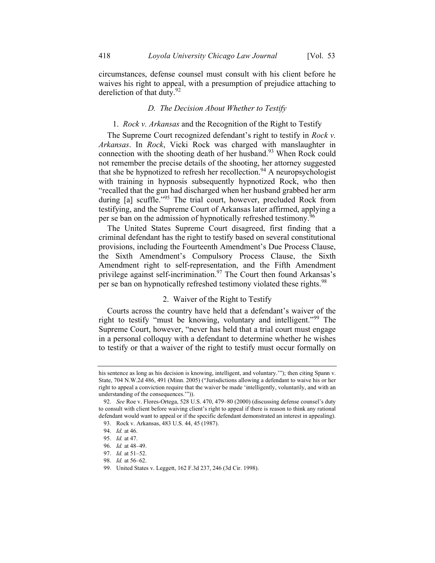circumstances, defense counsel must consult with his client before he waives his right to appeal, with a presumption of prejudice attaching to dereliction of that duty.<sup>92</sup>

### D. The Decision About Whether to Testify

#### 1. *Rock v. Arkansas* and the Recognition of the Right to Testify

The Supreme Court recognized defendant's right to testify in *Rock v*. Arkansas. In Rock, Vicki Rock was charged with manslaughter in connection with the shooting death of her husband.<sup>93</sup> When Rock could not remember the precise details of the shooting, her attorney suggested that she be hypnotized to refresh her recollection.<sup>94</sup> A neuropsychologist with training in hypnosis subsequently hypnotized Rock, who then "recalled that the gun had discharged when her husband grabbed her arm during [a] scuffle."<sup>95</sup> The trial court, however, precluded Rock from testifying, and the Supreme Court of Arkansas later affirmed, applying a per se ban on the admission of hypnotically refreshed testimony.<sup>96</sup>

The United States Supreme Court disagreed, first finding that a criminal defendant has the right to testify based on several constitutional provisions, including the Fourteenth Amendment's Due Process Clause, the Sixth Amendment's Compulsory Process Clause, the Sixth Amendment right to self-representation, and the Fifth Amendment privilege against self-incrimination.<sup>97</sup> The Court then found Arkansas's per se ban on hypnotically refreshed testimony violated these rights.<sup>98</sup>

#### 2. Waiver of the Right to Testify

Courts across the country have held that a defendant's waiver of the right to testify "must be knowing, voluntary and intelligent."<sup>99</sup> The Supreme Court, however, "never has held that a trial court must engage in a personal colloquy with a defendant to determine whether he wishes to testify or that a waiver of the right to testify must occur formally on

his sentence as long as his decision is knowing, intelligent, and voluntary.'"); then citing Spann v. State, 704 N.W.2d 486, 491 (Minn. 2005) ("Jurisdictions allowing a defendant to waive his or her right to appeal a conviction require that the waiver be made 'intelligently, voluntarily, and with an understanding of the consequences.'")).

<sup>92.</sup> See Roe v. Flores-Ortega, 528 U.S. 470, 479–80 (2000) (discussing defense counsel's duty to consult with client before waiving client's right to appeal if there is reason to think any rational defendant would want to appeal or if the specific defendant demonstrated an interest in appealing).

<sup>93.</sup> Rock v. Arkansas, 483 U.S. 44, 45 (1987).

<sup>94.</sup> Id. at 46.

<sup>95.</sup> Id. at 47.

<sup>96.</sup> Id. at 48–49.

<sup>97.</sup> Id. at 51–52.

<sup>98.</sup> Id. at 56–62.

<sup>99.</sup> United States v. Leggett, 162 F.3d 237, 246 (3d Cir. 1998).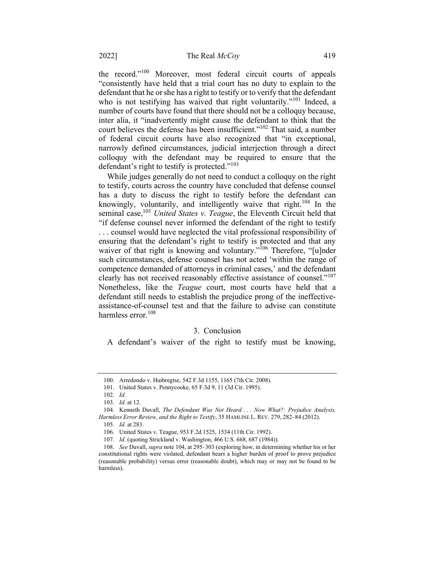the record."<sup>100</sup> Moreover, most federal circuit courts of appeals "consistently have held that a trial court has no duty to explain to the defendant that he or she has a right to testify or to verify that the defendant who is not testifying has waived that right voluntarily."<sup>101</sup> Indeed, a number of courts have found that there should not be a colloquy because, inter alia, it "inadvertently might cause the defendant to think that the court believes the defense has been insufficient."<sup>102</sup> That said, a number of federal circuit courts have also recognized that "in exceptional, narrowly defined circumstances, judicial interjection through a direct colloquy with the defendant may be required to ensure that the defendant's right to testify is protected."<sup>103</sup>

While judges generally do not need to conduct a colloquy on the right to testify, courts across the country have concluded that defense counsel has a duty to discuss the right to testify before the defendant can knowingly, voluntarily, and intelligently waive that right.<sup>104</sup> In the seminal case,<sup>105</sup> United States v. Teague, the Eleventh Circuit held that "if defense counsel never informed the defendant of the right to testify . . . counsel would have neglected the vital professional responsibility of ensuring that the defendant's right to testify is protected and that any waiver of that right is knowing and voluntary."<sup>106</sup> Therefore, "[u]nder such circumstances, defense counsel has not acted 'within the range of competence demanded of attorneys in criminal cases,' and the defendant clearly has not received reasonably effective assistance of counsel."<sup>107</sup> Nonetheless, like the Teague court, most courts have held that a defendant still needs to establish the prejudice prong of the ineffectiveassistance-of-counsel test and that the failure to advise can constitute harmless error.<sup>108</sup>

## 3. Conclusion

A defendant's waiver of the right to testify must be knowing,

<sup>100.</sup> Arredondo v. Huibregtse, 542 F.3d 1155, 1165 (7th Cir. 2008).

<sup>101.</sup> United States v. Pennycooke, 65 F.3d 9, 11 (3d Cir. 1995).

<sup>102.</sup> Id.

<sup>103.</sup> Id. at 12.

<sup>104.</sup> Kenneth Duvall, The Defendant Was Not Heard ... Now What?: Prejudice Analysis, Harmless Error Review, and the Right to Testify, 35 HAMLINE L. REV. 279, 282-84 (2012).

<sup>105.</sup> Id. at 283.

<sup>106.</sup> United States v. Teague, 953 F.2d 1525, 1534 (11th Cir. 1992).

<sup>107.</sup> Id. (quoting Strickland v. Washington, 466 U.S. 668, 687 (1984)).

<sup>108.</sup> See Duvall, supra note 104, at 295–303 (exploring how, in determining whether his or her constitutional rights were violated, defendant bears a higher burden of proof to prove prejudice (reasonable probability) versus error (reasonable doubt), which may or may not be found to be harmless).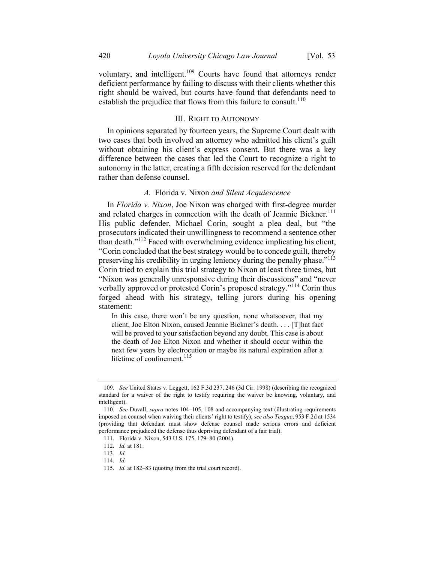#### III. RIGHT TO AUTONOMY

In opinions separated by fourteen years, the Supreme Court dealt with two cases that both involved an attorney who admitted his client's guilt without obtaining his client's express consent. But there was a key difference between the cases that led the Court to recognize a right to autonomy in the latter, creating a fifth decision reserved for the defendant rather than defense counsel.

## A. Florida v. Nixon and Silent Acquiescence

In Florida v. Nixon, Joe Nixon was charged with first-degree murder and related charges in connection with the death of Jeannie Bickner.<sup>111</sup> His public defender, Michael Corin, sought a plea deal, but "the prosecutors indicated their unwillingness to recommend a sentence other than death."<sup>112</sup> Faced with overwhelming evidence implicating his client, "Corin concluded that the best strategy would be to concede guilt, thereby preserving his credibility in urging leniency during the penalty phase."<sup>113</sup> Corin tried to explain this trial strategy to Nixon at least three times, but "Nixon was generally unresponsive during their discussions" and "never verbally approved or protested Corin's proposed strategy."<sup>114</sup> Corin thus forged ahead with his strategy, telling jurors during his opening statement:

In this case, there won't be any question, none whatsoever, that my client, Joe Elton Nixon, caused Jeannie Bickner's death. . . . [T]hat fact will be proved to your satisfaction beyond any doubt. This case is about the death of Joe Elton Nixon and whether it should occur within the next few years by electrocution or maybe its natural expiration after a lifetime of confinement. $^{115}$ 

<sup>109.</sup> See United States v. Leggett, 162 F.3d 237, 246 (3d Cir. 1998) (describing the recognized standard for a waiver of the right to testify requiring the waiver be knowing, voluntary, and intelligent).

<sup>110.</sup> See Duvall, supra notes 104–105, 108 and accompanying text (illustrating requirements imposed on counsel when waiving their clients' right to testify); see also Teague, 953 F.2d at 1534 (providing that defendant must show defense counsel made serious errors and deficient performance prejudiced the defense thus depriving defendant of a fair trial).

<sup>111.</sup> Florida v. Nixon, 543 U.S. 175, 179–80 (2004).

<sup>112.</sup> Id. at 181.

<sup>113.</sup> Id.

<sup>114.</sup> Id.

<sup>115.</sup> Id. at 182–83 (quoting from the trial court record).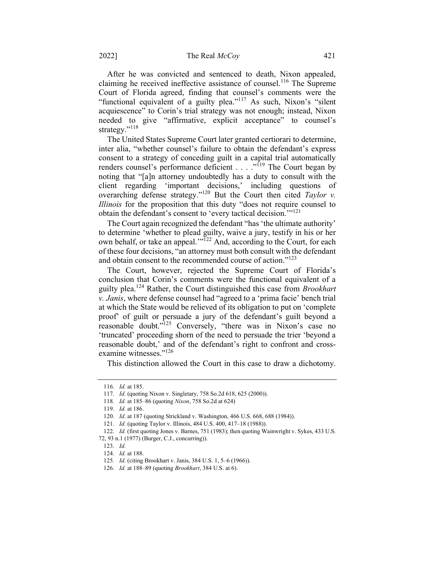After he was convicted and sentenced to death, Nixon appealed, claiming he received ineffective assistance of counsel.<sup>116</sup> The Supreme Court of Florida agreed, finding that counsel's comments were the "functional equivalent of a guilty plea."<sup>117</sup> As such, Nixon's "silent acquiescence" to Corin's trial strategy was not enough; instead, Nixon needed to give "affirmative, explicit acceptance" to counsel's strategy."<sup>118</sup>

The United States Supreme Court later granted certiorari to determine, inter alia, "whether counsel's failure to obtain the defendant's express consent to a strategy of conceding guilt in a capital trial automatically renders counsel's performance deficient . . . . "<sup>119</sup> The Court began by noting that "[a]n attorney undoubtedly has a duty to consult with the client regarding 'important decisions,' including questions of overarching defense strategy."<sup>120</sup> But the Court then cited Taylor v. Illinois for the proposition that this duty "does not require counsel to obtain the defendant's consent to 'every tactical decision.'"<sup>121</sup>

The Court again recognized the defendant "has 'the ultimate authority' to determine 'whether to plead guilty, waive a jury, testify in his or her own behalf, or take an appeal."<sup>122</sup> And, according to the Court, for each of these four decisions, "an attorney must both consult with the defendant and obtain consent to the recommended course of action."<sup>123</sup>

The Court, however, rejected the Supreme Court of Florida's conclusion that Corin's comments were the functional equivalent of a guilty plea.<sup>124</sup> Rather, the Court distinguished this case from *Brookhart* v. Janis, where defense counsel had "agreed to a 'prima facie' bench trial at which the State would be relieved of its obligation to put on 'complete proof' of guilt or persuade a jury of the defendant's guilt beyond a reasonable doubt."<sup>125</sup> Conversely, "there was in Nixon's case no 'truncated' proceeding shorn of the need to persuade the trier 'beyond a reasonable doubt,' and of the defendant's right to confront and crossexamine witnesses."<sup>126</sup>

This distinction allowed the Court in this case to draw a dichotomy.

<sup>116.</sup> Id. at 185.

<sup>117.</sup> Id. (quoting Nixon v. Singletary, 758 So.2d 618, 625 (2000)).

<sup>118.</sup> Id. at 185–86 (quoting Nixon, 758 So.2d at 624)

<sup>119.</sup> Id. at 186.

<sup>120.</sup> Id. at 187 (quoting Strickland v. Washington, 466 U.S. 668, 688 (1984)).

<sup>121.</sup> Id. (quoting Taylor v. Illinois, 484 U.S. 400, 417–18 (1988)).

<sup>122.</sup> Id. (first quoting Jones v. Barnes, 751 (1983); then quoting Wainwright v. Sykes, 433 U.S.

<sup>72, 93</sup> n.1 (1977) (Burger, C.J., concurring)).

<sup>123.</sup> Id.

<sup>124.</sup> Id. at 188.

<sup>125.</sup> Id. (citing Brookhart v. Janis, 384 U.S. 1, 5–6 (1966)).

<sup>126.</sup> Id. at 188–89 (quoting Brookhart, 384 U.S. at 6).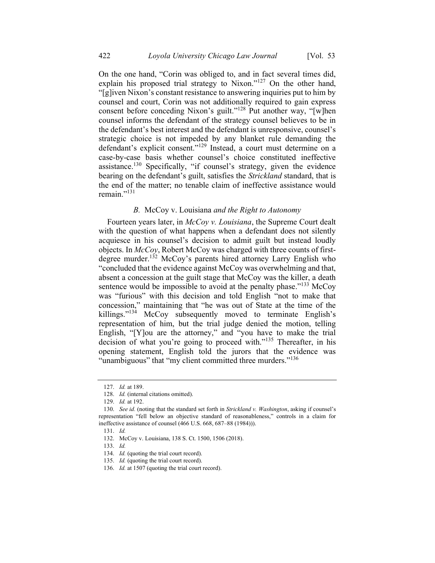On the one hand, "Corin was obliged to, and in fact several times did, explain his proposed trial strategy to Nixon."<sup>127</sup> On the other hand, "[g]iven Nixon's constant resistance to answering inquiries put to him by counsel and court, Corin was not additionally required to gain express consent before conceding Nixon's guilt."<sup>128</sup> Put another way, "[w]hen counsel informs the defendant of the strategy counsel believes to be in the defendant's best interest and the defendant is unresponsive, counsel's strategic choice is not impeded by any blanket rule demanding the defendant's explicit consent."<sup>129</sup> Instead, a court must determine on a case-by-case basis whether counsel's choice constituted ineffective assistance.<sup>130</sup> Specifically, "if counsel's strategy, given the evidence bearing on the defendant's guilt, satisfies the Strickland standard, that is the end of the matter; no tenable claim of ineffective assistance would remain."<sup>131</sup>

#### B. McCoy v. Louisiana and the Right to Autonomy

Fourteen years later, in McCoy v. Louisiana, the Supreme Court dealt with the question of what happens when a defendant does not silently acquiesce in his counsel's decision to admit guilt but instead loudly objects. In  $McCoy$ , Robert McCoy was charged with three counts of firstdegree murder.<sup>132</sup> McCoy's parents hired attorney Larry English who "concluded that the evidence against McCoy was overwhelming and that, absent a concession at the guilt stage that McCoy was the killer, a death sentence would be impossible to avoid at the penalty phase."<sup>133</sup> McCoy was "furious" with this decision and told English "not to make that concession," maintaining that "he was out of State at the time of the killings."<sup>134</sup> McCoy subsequently moved to terminate English's representation of him, but the trial judge denied the motion, telling English, "[Y]ou are the attorney," and "you have to make the trial decision of what you're going to proceed with."<sup>135</sup> Thereafter, in his opening statement, English told the jurors that the evidence was "unambiguous" that "my client committed three murders."<sup>136</sup>

<sup>127.</sup> Id. at 189.

<sup>128.</sup> *Id.* (internal citations omitted).

<sup>129.</sup> Id. at 192.

<sup>130.</sup> See id. (noting that the standard set forth in Strickland v. Washington, asking if counsel's representation "fell below an objective standard of reasonableness," controls in a claim for ineffective assistance of counsel (466 U.S. 668, 687–88 (1984))).

<sup>131.</sup> Id.

<sup>132.</sup> McCoy v. Louisiana, 138 S. Ct. 1500, 1506 (2018).

<sup>133.</sup> Id.

<sup>134.</sup> Id. (quoting the trial court record).

<sup>135.</sup> Id. (quoting the trial court record).

<sup>136.</sup> Id. at 1507 (quoting the trial court record).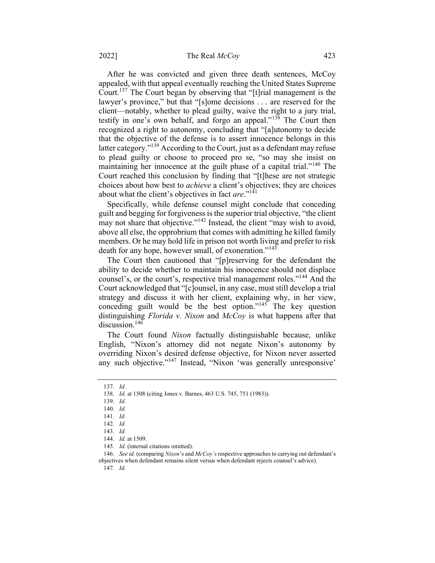After he was convicted and given three death sentences, McCoy appealed, with that appeal eventually reaching the United States Supreme Court.<sup>137</sup> The Court began by observing that "[t]rial management is the lawyer's province," but that "[s]ome decisions . . . are reserved for the client—notably, whether to plead guilty, waive the right to a jury trial, testify in one's own behalf, and forgo an appeal."<sup>138</sup> The Court then recognized a right to autonomy, concluding that "[a]utonomy to decide that the objective of the defense is to assert innocence belongs in this latter category."<sup>139</sup> According to the Court, just as a defendant may refuse to plead guilty or choose to proceed pro se, "so may she insist on maintaining her innocence at the guilt phase of a capital trial."<sup>140</sup> The Court reached this conclusion by finding that "[t]hese are not strategic choices about how best to achieve a client's objectives; they are choices about what the client's objectives in fact are." $141$ 

Specifically, while defense counsel might conclude that conceding guilt and begging for forgiveness is the superior trial objective, "the client may not share that objective."<sup>142</sup> Instead, the client "may wish to avoid, above all else, the opprobrium that comes with admitting he killed family members. Or he may hold life in prison not worth living and prefer to risk death for any hope, however small, of exoneration."<sup>143</sup>

The Court then cautioned that "[p]reserving for the defendant the ability to decide whether to maintain his innocence should not displace counsel's, or the court's, respective trial management roles."<sup>144</sup> And the Court acknowledged that "[c]ounsel, in any case, must still develop a trial strategy and discuss it with her client, explaining why, in her view, conceding guilt would be the best option."<sup>145</sup> The key question distinguishing Florida v. Nixon and  $McCov$  is what happens after that discussion.<sup>146</sup>

The Court found Nixon factually distinguishable because, unlike English, "Nixon's attorney did not negate Nixon's autonomy by overriding Nixon's desired defense objective, for Nixon never asserted any such objective."<sup>147</sup> Instead, "Nixon 'was generally unresponsive'

147. Id.

<sup>137.</sup> Id.

<sup>138.</sup> Id. at 1508 (citing Jones v. Barnes, 463 U.S. 745, 751 (1983)).

<sup>139.</sup> Id.

<sup>140.</sup> Id.

<sup>141.</sup> Id.

<sup>142.</sup> Id.

<sup>143.</sup> Id.

<sup>144.</sup> Id. at 1509.

<sup>145.</sup> Id. (internal citations omitted).

<sup>146.</sup> See id. (comparing Nixon's and McCoy's respective approaches to carrying out defendant's objectives when defendant remains silent versus when defendant rejects counsel's advice).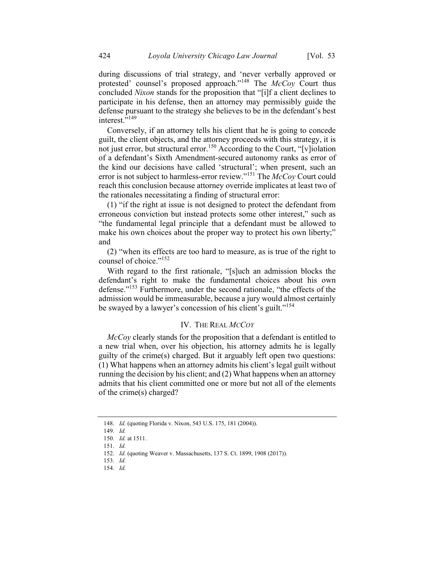during discussions of trial strategy, and 'never verbally approved or protested' counsel's proposed approach."<sup>148</sup> The  $McCov$  Court thus concluded Nixon stands for the proposition that "[i]f a client declines to participate in his defense, then an attorney may permissibly guide the defense pursuant to the strategy she believes to be in the defendant's best interest."<sup>149</sup>

Conversely, if an attorney tells his client that he is going to concede guilt, the client objects, and the attorney proceeds with this strategy, it is not just error, but structural error.<sup>150</sup> According to the Court, "[v]iolation of a defendant's Sixth Amendment-secured autonomy ranks as error of the kind our decisions have called 'structural'; when present, such an error is not subject to harmless-error review."<sup>151</sup> The  $\Lambda$ cCoy Court could reach this conclusion because attorney override implicates at least two of the rationales necessitating a finding of structural error:

(1) "if the right at issue is not designed to protect the defendant from erroneous conviction but instead protects some other interest," such as "the fundamental legal principle that a defendant must be allowed to make his own choices about the proper way to protect his own liberty;" and

(2) "when its effects are too hard to measure, as is true of the right to counsel of choice."<sup>152</sup>

With regard to the first rationale, "[s]uch an admission blocks the defendant's right to make the fundamental choices about his own defense."<sup>153</sup> Furthermore, under the second rationale, "the effects of the admission would be immeasurable, because a jury would almost certainly be swayed by a lawyer's concession of his client's guilt."<sup>154</sup>

### IV. THE REAL MCCOY

McCoy clearly stands for the proposition that a defendant is entitled to a new trial when, over his objection, his attorney admits he is legally guilty of the crime(s) charged. But it arguably left open two questions: (1) What happens when an attorney admits his client's legal guilt without running the decision by his client; and (2) What happens when an attorney admits that his client committed one or more but not all of the elements of the crime(s) charged?

154. Id.

<sup>148.</sup> Id. (quoting Florida v. Nixon, 543 U.S. 175, 181 (2004)).

<sup>149.</sup> Id.

<sup>150.</sup> Id. at 1511.

<sup>151.</sup> Id.

<sup>152.</sup> Id. (quoting Weaver v. Massachusetts, 137 S. Ct. 1899, 1908 (2017)).

<sup>153.</sup> Id.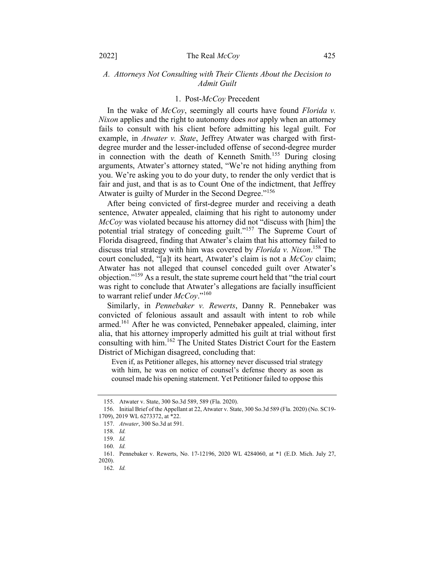## A. Attorneys Not Consulting with Their Clients About the Decision to Admit Guilt

#### 1. Post-McCoy Precedent

In the wake of  $McCov$ , seemingly all courts have found Florida v. Nixon applies and the right to autonomy does not apply when an attorney fails to consult with his client before admitting his legal guilt. For example, in Atwater v. State, Jeffrey Atwater was charged with firstdegree murder and the lesser-included offense of second-degree murder in connection with the death of Kenneth Smith.<sup>155</sup> During closing arguments, Atwater's attorney stated, "We're not hiding anything from you. We're asking you to do your duty, to render the only verdict that is fair and just, and that is as to Count One of the indictment, that Jeffrey Atwater is guilty of Murder in the Second Degree."<sup>156</sup>

After being convicted of first-degree murder and receiving a death sentence, Atwater appealed, claiming that his right to autonomy under McCoy was violated because his attorney did not "discuss with [him] the potential trial strategy of conceding guilt."<sup>157</sup> The Supreme Court of Florida disagreed, finding that Atwater's claim that his attorney failed to discuss trial strategy with him was covered by *Florida v. Nixon*.<sup>158</sup> The court concluded, "[a]t its heart, Atwater's claim is not a McCoy claim; Atwater has not alleged that counsel conceded guilt over Atwater's objection."<sup>159</sup> As a result, the state supreme court held that "the trial court" was right to conclude that Atwater's allegations are facially insufficient to warrant relief under  $McCov$ ."<sup>160</sup>

Similarly, in Pennebaker v. Rewerts, Danny R. Pennebaker was convicted of felonious assault and assault with intent to rob while armed.<sup>161</sup> After he was convicted, Pennebaker appealed, claiming, inter alia, that his attorney improperly admitted his guilt at trial without first consulting with him.<sup>162</sup> The United States District Court for the Eastern District of Michigan disagreed, concluding that:

Even if, as Petitioner alleges, his attorney never discussed trial strategy with him, he was on notice of counsel's defense theory as soon as counsel made his opening statement. Yet Petitioner failed to oppose this

<sup>155.</sup> Atwater v. State, 300 So.3d 589, 589 (Fla. 2020).

<sup>156.</sup> Initial Brief of the Appellant at 22, Atwater v. State, 300 So.3d 589 (Fla. 2020) (No. SC19- 1709), 2019 WL 6273372, at \*22.

<sup>157.</sup> Atwater, 300 So.3d at 591.

<sup>158.</sup> Id.

<sup>159.</sup> Id.

<sup>160.</sup> Id.

<sup>161.</sup> Pennebaker v. Rewerts, No. 17-12196, 2020 WL 4284060, at \*1 (E.D. Mich. July 27, 2020).

<sup>162.</sup> Id.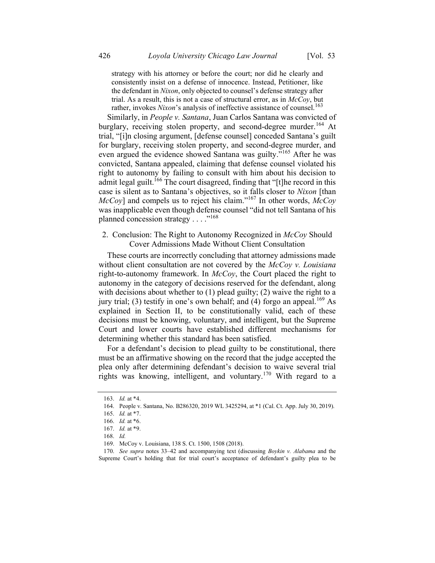strategy with his attorney or before the court; nor did he clearly and consistently insist on a defense of innocence. Instead, Petitioner, like the defendant in Nixon, only objected to counsel's defense strategy after trial. As a result, this is not a case of structural error, as in  $McCov$ , but rather, invokes Nixon's analysis of ineffective assistance of counsel.<sup>163</sup>

Similarly, in People v. Santana, Juan Carlos Santana was convicted of burglary, receiving stolen property, and second-degree murder.<sup>164</sup> At trial, "[i]n closing argument, [defense counsel] conceded Santana's guilt for burglary, receiving stolen property, and second-degree murder, and even argued the evidence showed Santana was guilty."<sup>165</sup> After he was convicted, Santana appealed, claiming that defense counsel violated his right to autonomy by failing to consult with him about his decision to admit legal guilt.<sup>166</sup> The court disagreed, finding that "[t]he record in this case is silent as to Santana's objectives, so it falls closer to Nixon [than McCoy] and compels us to reject his claim."<sup>167</sup> In other words, McCoy was inapplicable even though defense counsel "did not tell Santana of his planned concession strategy . . . ."<sup>168</sup>

## 2. Conclusion: The Right to Autonomy Recognized in McCoy Should Cover Admissions Made Without Client Consultation

These courts are incorrectly concluding that attorney admissions made without client consultation are not covered by the  $McCov$  v. Louisiana right-to-autonomy framework. In  $McCov$ , the Court placed the right to autonomy in the category of decisions reserved for the defendant, along with decisions about whether to (1) plead guilty; (2) waive the right to a jury trial; (3) testify in one's own behalf; and (4) forgo an appeal.<sup>169</sup> As explained in Section II, to be constitutionally valid, each of these decisions must be knowing, voluntary, and intelligent, but the Supreme Court and lower courts have established different mechanisms for determining whether this standard has been satisfied.

For a defendant's decision to plead guilty to be constitutional, there must be an affirmative showing on the record that the judge accepted the plea only after determining defendant's decision to waive several trial rights was knowing, intelligent, and voluntary.<sup>170</sup> With regard to a

<sup>163.</sup> Id. at \*4.

<sup>164.</sup> People v. Santana, No. B286320, 2019 WL 3425294, at \*1 (Cal. Ct. App. July 30, 2019).

<sup>165.</sup> Id. at \*7.

<sup>166.</sup> Id. at \*6.

<sup>167.</sup> Id. at \*9.

<sup>168.</sup> Id.

<sup>169.</sup> McCoy v. Louisiana, 138 S. Ct. 1500, 1508 (2018).

<sup>170.</sup> See supra notes 33–42 and accompanying text (discussing *Boykin v. Alabama* and the Supreme Court's holding that for trial court's acceptance of defendant's guilty plea to be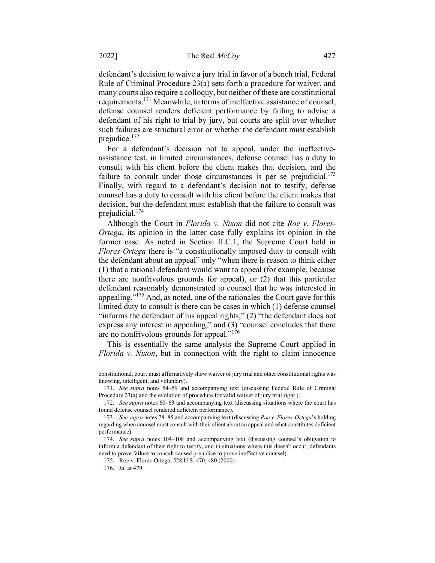defendant's decision to waive a jury trial in favor of a bench trial, Federal Rule of Criminal Procedure 23(a) sets forth a procedure for waiver, and many courts also require a colloquy, but neither of these are constitutional requirements.<sup>171</sup> Meanwhile, in terms of ineffective assistance of counsel, defense counsel renders deficient performance by failing to advise a defendant of his right to trial by jury, but courts are split over whether such failures are structural error or whether the defendant must establish prejudice.<sup>172</sup>

For a defendant's decision not to appeal, under the ineffectiveassistance test, in limited circumstances, defense counsel has a duty to consult with his client before the client makes that decision, and the failure to consult under those circumstances is per se prejudicial. $173$ Finally, with regard to a defendant's decision not to testify, defense counsel has a duty to consult with his client before the client makes that decision, but the defendant must establish that the failure to consult was prejudicial.<sup>174</sup>

Although the Court in Florida v. Nixon did not cite Roe v. Flores-Ortega, its opinion in the latter case fully explains its opinion in the former case. As noted in Section II.C.1, the Supreme Court held in Flores-Ortega there is "a constitutionally imposed duty to consult with the defendant about an appeal" only "when there is reason to think either (1) that a rational defendant would want to appeal (for example, because there are nonfrivolous grounds for appeal), or (2) that this particular defendant reasonably demonstrated to counsel that he was interested in appealing." $175$  And, as noted, one of the rationales the Court gave for this limited duty to consult is there can be cases in which (1) defense counsel "informs the defendant of his appeal rights;" (2) "the defendant does not express any interest in appealing;" and (3) "counsel concludes that there are no nonfrivolous grounds for appeal."<sup>176</sup>

This is essentially the same analysis the Supreme Court applied in Florida v. Nixon, but in connection with the right to claim innocence

constitutional, court must affirmatively show waiver of jury trial and other constitutional rights was knowing, intelligent, and voluntary).

<sup>171.</sup> See supra notes 54–59 and accompanying text (discussing Federal Rule of Criminal Procedure 23(a) and the evolution of procedure for valid waiver of jury trial right ).

<sup>172.</sup> See supra notes 60–63 and accompanying text (discussing situations where the court has found defense counsel rendered deficient performance).

<sup>173.</sup> See supra notes 78-85 and accompanying text (discussing Roe v. Flores-Ortega's holding regarding when counsel must consult with their client about an appeal and what constitutes deficient performance).

<sup>174.</sup> See supra notes 104–108 and accompanying text (discussing counsel's obligation to inform a defendant of their right to testify, and in situations where this doesn't occur, defendants need to prove failure to consult caused prejudice to prove ineffective counsel).

<sup>175.</sup> Roe v. Flores-Ortega, 528 U.S. 470, 480 (2000).

<sup>176.</sup> Id. at 479.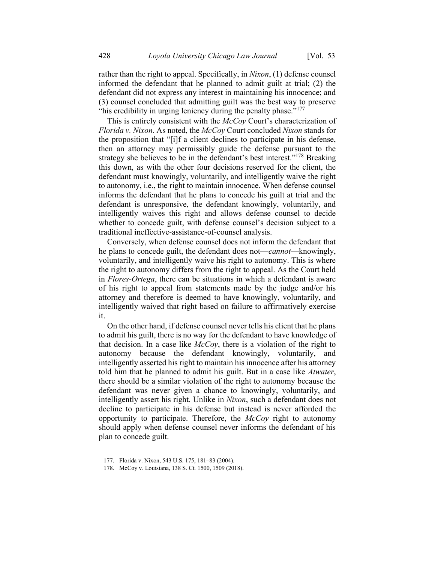rather than the right to appeal. Specifically, in Nixon, (1) defense counsel informed the defendant that he planned to admit guilt at trial; (2) the defendant did not express any interest in maintaining his innocence; and (3) counsel concluded that admitting guilt was the best way to preserve "his credibility in urging leniency during the penalty phase."<sup>177</sup>

This is entirely consistent with the McCoy Court's characterization of Florida v. Nixon. As noted, the McCoy Court concluded Nixon stands for the proposition that "[i]f a client declines to participate in his defense, then an attorney may permissibly guide the defense pursuant to the strategy she believes to be in the defendant's best interest."<sup>178</sup> Breaking this down, as with the other four decisions reserved for the client, the defendant must knowingly, voluntarily, and intelligently waive the right to autonomy, i.e., the right to maintain innocence. When defense counsel informs the defendant that he plans to concede his guilt at trial and the defendant is unresponsive, the defendant knowingly, voluntarily, and intelligently waives this right and allows defense counsel to decide whether to concede guilt, with defense counsel's decision subject to a traditional ineffective-assistance-of-counsel analysis.

Conversely, when defense counsel does not inform the defendant that he plans to concede guilt, the defendant does not—*cannot*—knowingly, voluntarily, and intelligently waive his right to autonomy. This is where the right to autonomy differs from the right to appeal. As the Court held in Flores-Ortega, there can be situations in which a defendant is aware of his right to appeal from statements made by the judge and/or his attorney and therefore is deemed to have knowingly, voluntarily, and intelligently waived that right based on failure to affirmatively exercise it.

On the other hand, if defense counsel never tells his client that he plans to admit his guilt, there is no way for the defendant to have knowledge of that decision. In a case like  $McCoy$ , there is a violation of the right to autonomy because the defendant knowingly, voluntarily, and intelligently asserted his right to maintain his innocence after his attorney told him that he planned to admit his guilt. But in a case like Atwater, there should be a similar violation of the right to autonomy because the defendant was never given a chance to knowingly, voluntarily, and intelligently assert his right. Unlike in Nixon, such a defendant does not decline to participate in his defense but instead is never afforded the opportunity to participate. Therefore, the  $McCov$  right to autonomy should apply when defense counsel never informs the defendant of his plan to concede guilt.

<sup>177.</sup> Florida v. Nixon, 543 U.S. 175, 181–83 (2004).

<sup>178.</sup> McCoy v. Louisiana, 138 S. Ct. 1500, 1509 (2018).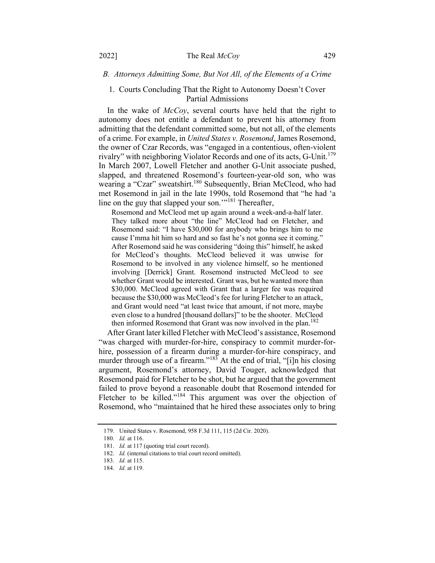## B. Attorneys Admitting Some, But Not All, of the Elements of a Crime

### 1. Courts Concluding That the Right to Autonomy Doesn't Cover Partial Admissions

In the wake of McCoy, several courts have held that the right to autonomy does not entitle a defendant to prevent his attorney from admitting that the defendant committed some, but not all, of the elements of a crime. For example, in United States v. Rosemond, James Rosemond, the owner of Czar Records, was "engaged in a contentious, often-violent rivalry" with neighboring Violator Records and one of its acts, G-Unit.<sup>179</sup> In March 2007, Lowell Fletcher and another G-Unit associate pushed, slapped, and threatened Rosemond's fourteen-year-old son, who was wearing a "Czar" sweatshirt.<sup>180</sup> Subsequently, Brian McCleod, who had met Rosemond in jail in the late 1990s, told Rosemond that "he had 'a line on the guy that slapped your son."<sup>181</sup> Thereafter,

Rosemond and McCleod met up again around a week-and-a-half later. They talked more about "the line" McCleod had on Fletcher, and Rosemond said: "I have \$30,000 for anybody who brings him to me cause I'mma hit him so hard and so fast he's not gonna see it coming." After Rosemond said he was considering "doing this" himself, he asked for McCleod's thoughts. McCleod believed it was unwise for Rosemond to be involved in any violence himself, so he mentioned involving [Derrick] Grant. Rosemond instructed McCleod to see whether Grant would be interested. Grant was, but he wanted more than \$30,000. McCleod agreed with Grant that a larger fee was required because the \$30,000 was McCleod's fee for luring Fletcher to an attack, and Grant would need "at least twice that amount, if not more, maybe even close to a hundred [thousand dollars]" to be the shooter. McCleod then informed Rosemond that Grant was now involved in the plan.<sup>182</sup>

After Grant later killed Fletcher with McCleod's assistance, Rosemond "was charged with murder-for-hire, conspiracy to commit murder-forhire, possession of a firearm during a murder-for-hire conspiracy, and murder through use of a firearm."<sup>183</sup> At the end of trial, "[i]n his closing argument, Rosemond's attorney, David Touger, acknowledged that Rosemond paid for Fletcher to be shot, but he argued that the government failed to prove beyond a reasonable doubt that Rosemond intended for Fletcher to be killed."<sup>184</sup> This argument was over the objection of Rosemond, who "maintained that he hired these associates only to bring

<sup>179.</sup> United States v. Rosemond, 958 F.3d 111, 115 (2d Cir. 2020).

<sup>180.</sup> Id. at 116.

<sup>181.</sup> Id. at 117 (quoting trial court record).

<sup>182.</sup> Id. (internal citations to trial court record omitted).

<sup>183.</sup> Id. at 115.

<sup>184.</sup> Id. at 119.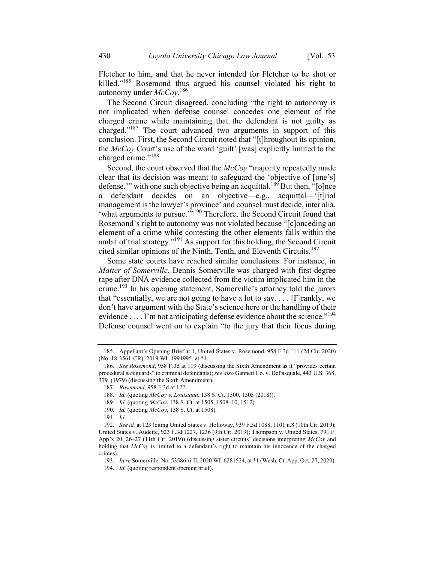Fletcher to him, and that he never intended for Fletcher to be shot or killed."<sup>185</sup> Rosemond thus argued his counsel violated his right to autonomy under  $\text{McCoy.}^{186}$ 

The Second Circuit disagreed, concluding "the right to autonomy is not implicated when defense counsel concedes one element of the charged crime while maintaining that the defendant is not guilty as charged."<sup>187</sup> The court advanced two arguments in support of this conclusion. First, the Second Circuit noted that "[t]hroughout its opinion, the McCoy Court's use of the word 'guilt' [was] explicitly limited to the charged crime."<sup>188</sup>

Second, the court observed that the McCoy "majority repeatedly made clear that its decision was meant to safeguard the 'objective of [one's] defense," with one such objective being an acquittal.<sup>189</sup> But then,  $\cdot$ [o]nce a defendant decides on an objective—e.g., acquittal—'[t]rial management is the lawyer's province' and counsel must decide, inter alia, 'what arguments to pursue."<sup>190</sup> Therefore, the Second Circuit found that Rosemond's right to autonomy was not violated because "[c]onceding an element of a crime while contesting the other elements falls within the ambit of trial strategy."<sup>191</sup> As support for this holding, the Second Circuit cited similar opinions of the Ninth, Tenth, and Eleventh Circuits.<sup>192</sup>

Some state courts have reached similar conclusions. For instance, in Matter of Somerville, Dennis Somerville was charged with first-degree rape after DNA evidence collected from the victim implicated him in the crime.<sup>193</sup> In his opening statement, Somerville's attorney told the jurors that "essentially, we are not going to have a lot to say.... [F] rankly, we don't have argument with the State's science here or the handling of their evidence  $\dots$  I'm not anticipating defense evidence about the science."<sup>194</sup> Defense counsel went on to explain "to the jury that their focus during

<sup>185.</sup> Appellant's Opening Brief at 1, United States v. Rosemond, 958 F.3d 111 (2d Cir. 2020) (No. 18-3561-CR), 2019 WL 1991995, at \*1.

<sup>186.</sup> See Rosemond, 958 F.3d at 119 (discussing the Sixth Amendment as it "provides certain procedural safeguards" to criminal defendants); see also Gannett Co. v. DePasquale, 443 U.S. 368, 379 (1979) (discussing the Sixth Amendment).

<sup>187.</sup> Rosemond, 958 F.3d at 122.

<sup>188.</sup> Id. (quoting McCoy v. Louisiana, 138 S. Ct. 1500, 1505 (2018)).

<sup>189.</sup> Id. (quoting McCoy, 138 S. Ct. at 1505, 1508-10, 1512).

<sup>190.</sup> Id. (quoting McCoy, 138 S. Ct. at 1508).

<sup>191.</sup> Id.

<sup>192.</sup> See id. at 123 (citing United States v. Holloway, 939 F.3d 1088, 1101 n.8 (10th Cir. 2019); United States v. Audette, 923 F.3d 1227, 1236 (9th Cir. 2019); Thompson v. United States, 791 F. App'x 20, 26–27 (11th Cir. 2019)) (discussing sister circuits' decisions interpreting  $McCov$  and holding that McCoy is limited to a defendant's right to maintain his innocence of the charged crimes).

<sup>193.</sup> In re Somerville, No. 53586-6-II, 2020 WL 6281524, at \*1 (Wash. Ct. App. Oct. 27, 2020).

<sup>194.</sup> Id. (quoting respondent opening brief).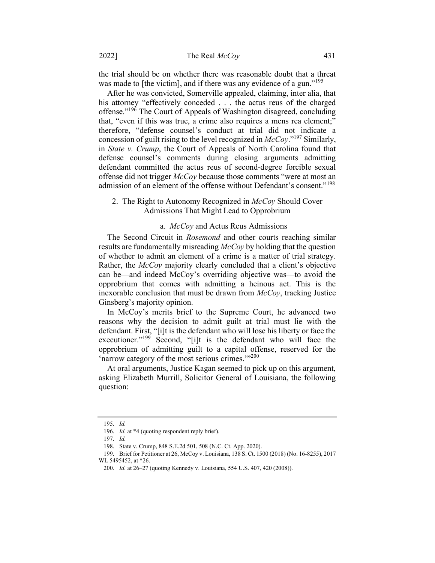the trial should be on whether there was reasonable doubt that a threat was made to [the victim], and if there was any evidence of a gun."<sup>195</sup>

After he was convicted, Somerville appealed, claiming, inter alia, that his attorney "effectively conceded . . . the actus reus of the charged offense."<sup>196</sup> The Court of Appeals of Washington disagreed, concluding that, "even if this was true, a crime also requires a mens rea element;" therefore, "defense counsel's conduct at trial did not indicate a concession of guilt rising to the level recognized in  $McCov$ ."<sup>197</sup> Similarly, in State v. Crump, the Court of Appeals of North Carolina found that defense counsel's comments during closing arguments admitting defendant committed the actus reus of second-degree forcible sexual offense did not trigger McCoy because those comments "were at most an admission of an element of the offense without Defendant's consent."<sup>198</sup>

## 2. The Right to Autonomy Recognized in *McCoy* Should Cover Admissions That Might Lead to Opprobrium

#### a. McCoy and Actus Reus Admissions

The Second Circuit in *Rosemond* and other courts reaching similar results are fundamentally misreading McCoy by holding that the question of whether to admit an element of a crime is a matter of trial strategy. Rather, the McCoy majority clearly concluded that a client's objective can be—and indeed McCoy's overriding objective was—to avoid the opprobrium that comes with admitting a heinous act. This is the inexorable conclusion that must be drawn from  $McCoy$ , tracking Justice Ginsberg's majority opinion.

In McCoy's merits brief to the Supreme Court, he advanced two reasons why the decision to admit guilt at trial must lie with the defendant. First, "[i]t is the defendant who will lose his liberty or face the executioner."<sup>199</sup> Second, "[i]t is the defendant who will face the opprobrium of admitting guilt to a capital offense, reserved for the 'narrow category of the most serious crimes."<sup>200</sup>

At oral arguments, Justice Kagan seemed to pick up on this argument, asking Elizabeth Murrill, Solicitor General of Louisiana, the following question:

<sup>195.</sup> Id.

<sup>196.</sup> *Id.* at \*4 (quoting respondent reply brief).

<sup>197.</sup> Id.

<sup>198.</sup> State v. Crump, 848 S.E.2d 501, 508 (N.C. Ct. App. 2020).

<sup>199.</sup> Brief for Petitioner at 26, McCoy v. Louisiana, 138 S. Ct. 1500 (2018) (No. 16-8255), 2017 WL 5495452, at \*26.

<sup>200.</sup> Id. at 26–27 (quoting Kennedy v. Louisiana, 554 U.S. 407, 420 (2008)).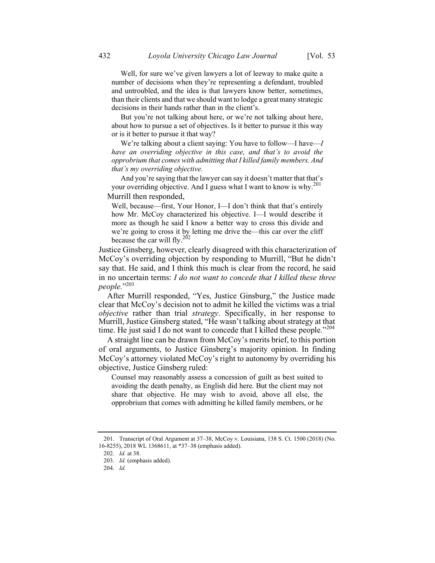But you're not talking about here, or we're not talking about here, about how to pursue a set of objectives. Is it better to pursue it this way or is it better to pursue it that way?

We're talking about a client saying: You have to follow—I have—I have an overriding objective in this case, and that's to avoid the opprobrium that comes with admitting that I killed family members. And that's my overriding objective.

And you're saying that the lawyer can say it doesn't matter that that's your overriding objective. And I guess what I want to know is why. $^{201}$ Murrill then responded,

Well, because—first, Your Honor, I—I don't think that that's entirely how Mr. McCoy characterized his objective. I—I would describe it more as though he said I know a better way to cross this divide and we're going to cross it by letting me drive the—this car over the cliff because the car will fly.<sup>202</sup>

Justice Ginsberg, however, clearly disagreed with this characterization of McCoy's overriding objection by responding to Murrill, "But he didn't say that. He said, and I think this much is clear from the record, he said in no uncertain terms: I do not want to concede that I killed these three people." 203

After Murrill responded, "Yes, Justice Ginsburg," the Justice made clear that McCoy's decision not to admit he killed the victims was a trial objective rather than trial strategy. Specifically, in her response to Murrill, Justice Ginsberg stated, "He wasn't talking about strategy at that time. He just said I do not want to concede that I killed these people."<sup>204</sup>

A straight line can be drawn from McCoy's merits brief, to this portion of oral arguments, to Justice Ginsberg's majority opinion. In finding McCoy's attorney violated McCoy's right to autonomy by overriding his objective, Justice Ginsberg ruled:

Counsel may reasonably assess a concession of guilt as best suited to avoiding the death penalty, as English did here. But the client may not share that objective. He may wish to avoid, above all else, the opprobrium that comes with admitting he killed family members, or he

<sup>201.</sup> Transcript of Oral Argument at 37–38, McCoy v. Louisiana, 138 S. Ct. 1500 (2018) (No. 16-8255), 2018 WL 1368611, at \*37–38 (emphasis added).

<sup>202.</sup> Id. at 38.

<sup>203.</sup> Id. (emphasis added).

<sup>204.</sup> Id.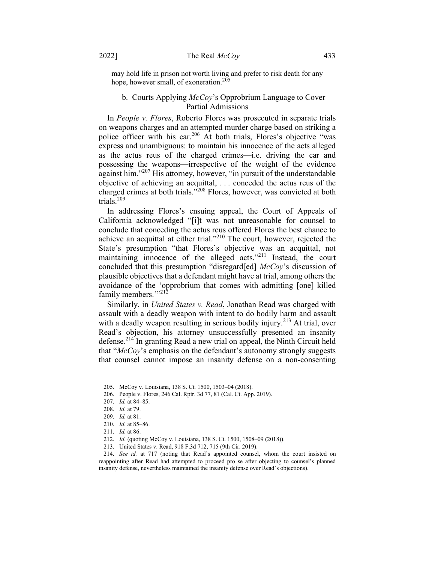may hold life in prison not worth living and prefer to risk death for any hope, however small, of exoneration.<sup>205</sup>

## b. Courts Applying McCoy's Opprobrium Language to Cover Partial Admissions

In People *v. Flores*, Roberto Flores was prosecuted in separate trials on weapons charges and an attempted murder charge based on striking a police officer with his car.<sup>206</sup> At both trials, Flores's objective "was express and unambiguous: to maintain his innocence of the acts alleged as the actus reus of the charged crimes—i.e. driving the car and possessing the weapons—irrespective of the weight of the evidence against him."<sup>207</sup> His attorney, however, "in pursuit of the understandable objective of achieving an acquittal, . . . conceded the actus reus of the charged crimes at both trials."<sup>208</sup> Flores, however, was convicted at both trials.<sup>209</sup>

In addressing Flores's ensuing appeal, the Court of Appeals of California acknowledged "[i]t was not unreasonable for counsel to conclude that conceding the actus reus offered Flores the best chance to achieve an acquittal at either trial."<sup>210</sup> The court, however, rejected the State's presumption "that Flores's objective was an acquittal, not maintaining innocence of the alleged acts."<sup>211</sup> Instead, the court concluded that this presumption "disregard[ed] McCoy's discussion of plausible objectives that a defendant might have at trial, among others the avoidance of the 'opprobrium that comes with admitting [one] killed family members."<sup>212</sup>

Similarly, in United States v. Read, Jonathan Read was charged with assault with a deadly weapon with intent to do bodily harm and assault with a deadly weapon resulting in serious bodily injury.<sup>213</sup> At trial, over Read's objection, his attorney unsuccessfully presented an insanity defense.<sup>214</sup> In granting Read a new trial on appeal, the Ninth Circuit held that " $McCoy$ 's emphasis on the defendant's autonomy strongly suggests that counsel cannot impose an insanity defense on a non-consenting

<sup>205.</sup> McCoy v. Louisiana, 138 S. Ct. 1500, 1503–04 (2018).

<sup>206.</sup> People v. Flores, 246 Cal. Rptr. 3d 77, 81 (Cal. Ct. App. 2019).

<sup>207.</sup> Id. at 84–85.

<sup>208.</sup> Id. at 79.

<sup>209.</sup> Id. at 81.

<sup>210.</sup> Id. at 85–86.

<sup>211.</sup> Id. at 86.

<sup>212.</sup> Id. (quoting McCoy v. Louisiana, 138 S. Ct. 1500, 1508–09 (2018)).

<sup>213.</sup> United States v. Read, 918 F.3d 712, 715 (9th Cir. 2019).

<sup>214.</sup> See id. at 717 (noting that Read's appointed counsel, whom the court insisted on reappointing after Read had attempted to proceed pro se after objecting to counsel's planned insanity defense, nevertheless maintained the insanity defense over Read's objections).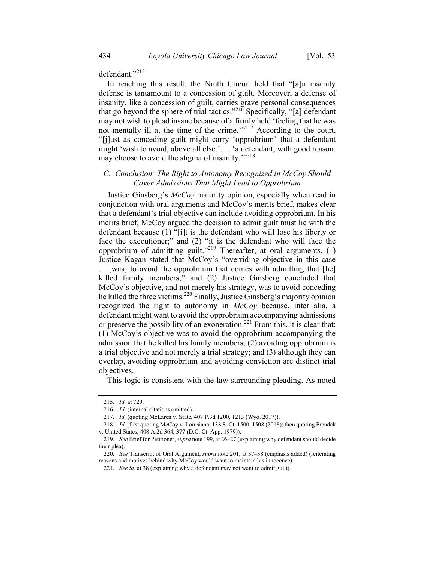defendant."<sup>215</sup>

In reaching this result, the Ninth Circuit held that "[a]n insanity defense is tantamount to a concession of guilt. Moreover, a defense of insanity, like a concession of guilt, carries grave personal consequences that go beyond the sphere of trial tactics."<sup>216</sup> Specifically, "[a] defendant may not wish to plead insane because of a firmly held 'feeling that he was not mentally ill at the time of the crime. $1^{17}$  According to the court, "[j]ust as conceding guilt might carry 'opprobrium' that a defendant might 'wish to avoid, above all else,'. . . 'a defendant, with good reason, may choose to avoid the stigma of insanity."<sup>218</sup>

## C. Conclusion: The Right to Autonomy Recognized in McCoy Should Cover Admissions That Might Lead to Opprobrium

Justice Ginsberg's McCoy majority opinion, especially when read in conjunction with oral arguments and McCoy's merits brief, makes clear that a defendant's trial objective can include avoiding opprobrium. In his merits brief, McCoy argued the decision to admit guilt must lie with the defendant because (1) "[i]t is the defendant who will lose his liberty or face the executioner;" and (2) "it is the defendant who will face the opprobrium of admitting guilt."<sup>219</sup> Thereafter, at oral arguments,  $(1)$ Justice Kagan stated that McCoy's "overriding objective in this case . . .[was] to avoid the opprobrium that comes with admitting that [he] killed family members;" and (2) Justice Ginsberg concluded that McCoy's objective, and not merely his strategy, was to avoid conceding he killed the three victims.<sup>220</sup> Finally, Justice Ginsberg's majority opinion recognized the right to autonomy in McCoy because, inter alia, a defendant might want to avoid the opprobrium accompanying admissions or preserve the possibility of an exoneration.<sup>221</sup> From this, it is clear that: (1) McCoy's objective was to avoid the opprobrium accompanying the admission that he killed his family members; (2) avoiding opprobrium is a trial objective and not merely a trial strategy; and (3) although they can overlap, avoiding opprobrium and avoiding conviction are distinct trial objectives.

This logic is consistent with the law surrounding pleading. As noted

<sup>215.</sup> Id. at 720.

<sup>216.</sup> Id. (internal citations omitted).

<sup>217.</sup> Id. (quoting McLaren v. State, 407 P.3d 1200, 1213 (Wyo. 2017)).

<sup>218.</sup> Id. (first quoting McCoy v. Louisiana, 138 S. Ct. 1500, 1508 (2018); then quoting Frendak v. United States, 408 A.2d 364, 377 (D.C. Ct. App. 1979)).

<sup>219.</sup> See Brief for Petitioner, supra note 199, at 26–27 (explaining why defendant should decide their plea).

<sup>220.</sup> See Transcript of Oral Argument, supra note 201, at 37-38 (emphasis added) (reiterating reasons and motives behind why McCoy would want to maintain his innocence).

<sup>221.</sup> See id. at 38 (explaining why a defendant may not want to admit guilt).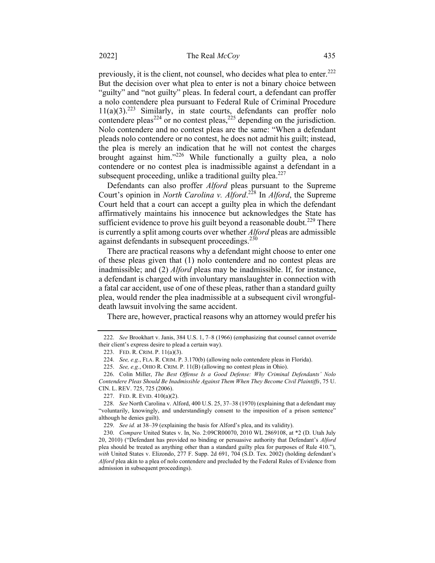previously, it is the client, not counsel, who decides what plea to enter.<sup>222</sup> But the decision over what plea to enter is not a binary choice between "guilty" and "not guilty" pleas. In federal court, a defendant can proffer a nolo contendere plea pursuant to Federal Rule of Criminal Procedure  $11(a)(3)$ .<sup>223</sup> Similarly, in state courts, defendants can proffer nolo contendere pleas<sup>224</sup> or no contest pleas,<sup>225</sup> depending on the jurisdiction. Nolo contendere and no contest pleas are the same: "When a defendant pleads nolo contendere or no contest, he does not admit his guilt; instead, the plea is merely an indication that he will not contest the charges brought against him."<sup>226</sup> While functionally a guilty plea, a nolo contendere or no contest plea is inadmissible against a defendant in a subsequent proceeding, unlike a traditional guilty plea. $227$ 

Defendants can also proffer Alford pleas pursuant to the Supreme Court's opinion in *North Carolina v. Alford*.<sup>228</sup> In *Alford*, the Supreme Court held that a court can accept a guilty plea in which the defendant affirmatively maintains his innocence but acknowledges the State has sufficient evidence to prove his guilt beyond a reasonable doubt.<sup>229</sup> There is currently a split among courts over whether Alford pleas are admissible against defendants in subsequent proceedings.<sup>230</sup>

There are practical reasons why a defendant might choose to enter one of these pleas given that (1) nolo contendere and no contest pleas are inadmissible; and (2) Alford pleas may be inadmissible. If, for instance, a defendant is charged with involuntary manslaughter in connection with a fatal car accident, use of one of these pleas, rather than a standard guilty plea, would render the plea inadmissible at a subsequent civil wrongfuldeath lawsuit involving the same accident.

There are, however, practical reasons why an attorney would prefer his

<sup>222.</sup> See Brookhart v. Janis, 384 U.S. 1, 7–8 (1966) (emphasizing that counsel cannot override their client's express desire to plead a certain way).

<sup>223.</sup> FED. R. CRIM. P. 11(a)(3).

<sup>224.</sup> See, e.g., FLA. R. CRIM. P. 3.170(b) (allowing nolo contendere pleas in Florida).

<sup>225.</sup> See, e.g., OHIO R. CRIM. P. 11(B) (allowing no contest pleas in Ohio).

<sup>226.</sup> Colin Miller, The Best Offense Is a Good Defense: Why Criminal Defendants' Nolo Contendere Pleas Should Be Inadmissible Against Them When They Become Civil Plaintiffs, 75 U. CIN. L. REV. 725, 725 (2006).

<sup>227.</sup> FED. R. EVID. 410(a)(2).

<sup>228.</sup> See North Carolina v. Alford, 400 U.S. 25, 37–38 (1970) (explaining that a defendant may "voluntarily, knowingly, and understandingly consent to the imposition of a prison sentence" although he denies guilt).

<sup>229.</sup> See id. at 38–39 (explaining the basis for Alford's plea, and its validity).

<sup>230.</sup> Compare United States v. In, No. 2:09CR00070, 2010 WL 2869108, at \*2 (D. Utah July 20, 2010) ("Defendant has provided no binding or persuasive authority that Defendant's Alford plea should be treated as anything other than a standard guilty plea for purposes of Rule 410."), with United States v. Elizondo, 277 F. Supp. 2d 691, 704 (S.D. Tex. 2002) (holding defendant's Alford plea akin to a plea of nolo contendere and precluded by the Federal Rules of Evidence from admission in subsequent proceedings).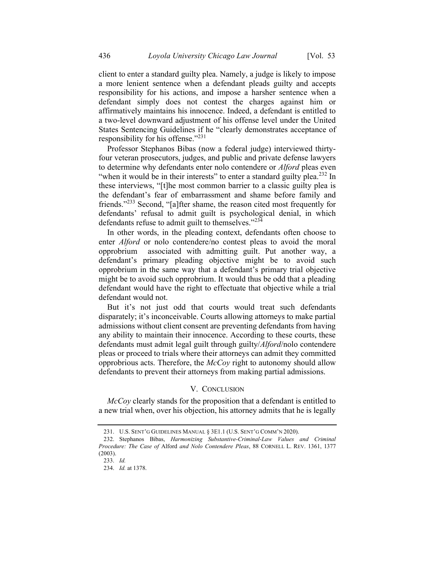client to enter a standard guilty plea. Namely, a judge is likely to impose a more lenient sentence when a defendant pleads guilty and accepts responsibility for his actions, and impose a harsher sentence when a defendant simply does not contest the charges against him or affirmatively maintains his innocence. Indeed, a defendant is entitled to a two-level downward adjustment of his offense level under the United States Sentencing Guidelines if he "clearly demonstrates acceptance of responsibility for his offense."<sup>231</sup>

Professor Stephanos Bibas (now a federal judge) interviewed thirtyfour veteran prosecutors, judges, and public and private defense lawyers to determine why defendants enter nolo contendere or *Alford* pleas even "when it would be in their interests" to enter a standard guilty plea.<sup>232</sup> In these interviews, "[t]he most common barrier to a classic guilty plea is the defendant's fear of embarrassment and shame before family and friends."<sup>233</sup> Second, "[a]fter shame, the reason cited most frequently for defendants' refusal to admit guilt is psychological denial, in which defendants refuse to admit guilt to themselves."<sup>234</sup>

In other words, in the pleading context, defendants often choose to enter *Alford* or nolo contendere/no contest pleas to avoid the moral opprobrium associated with admitting guilt. Put another way, a defendant's primary pleading objective might be to avoid such opprobrium in the same way that a defendant's primary trial objective might be to avoid such opprobrium. It would thus be odd that a pleading defendant would have the right to effectuate that objective while a trial defendant would not.

But it's not just odd that courts would treat such defendants disparately; it's inconceivable. Courts allowing attorneys to make partial admissions without client consent are preventing defendants from having any ability to maintain their innocence. According to these courts, these defendants must admit legal guilt through guilty/Alford/nolo contendere pleas or proceed to trials where their attorneys can admit they committed opprobrious acts. Therefore, the  $McCov$  right to autonomy should allow defendants to prevent their attorneys from making partial admissions.

#### V. CONCLUSION

McCoy clearly stands for the proposition that a defendant is entitled to a new trial when, over his objection, his attorney admits that he is legally

<sup>231.</sup> U.S. SENT'G GUIDELINES MANUAL § 3E1.1 (U.S. SENT'G COMM'N 2020).

<sup>232.</sup> Stephanos Bibas, Harmonizing Substantive-Criminal-Law Values and Criminal Procedure: The Case of Alford and Nolo Contendere Pleas, 88 CORNELL L. REV. 1361, 1377 (2003).

<sup>233.</sup> Id.

<sup>234.</sup> Id. at 1378.